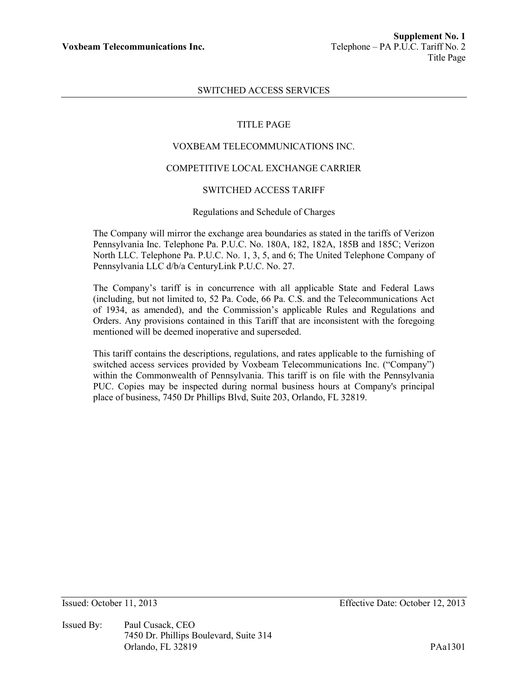# SWITCHED ACCESS SERVICES

## TITLE PAGE

## VOXBEAM TELECOMMUNICATIONS INC.

#### COMPETITIVE LOCAL EXCHANGE CARRIER

# SWITCHED ACCESS TARIFF

#### Regulations and Schedule of Charges

The Company will mirror the exchange area boundaries as stated in the tariffs of Verizon Pennsylvania Inc. Telephone Pa. P.U.C. No. 180A, 182, 182A, 185B and 185C; Verizon North LLC. Telephone Pa. P.U.C. No. 1, 3, 5, and 6; The United Telephone Company of Pennsylvania LLC d/b/a CenturyLink P.U.C. No. 27.

The Company's tariff is in concurrence with all applicable State and Federal Laws (including, but not limited to, 52 Pa. Code, 66 Pa. C.S. and the Telecommunications Act of 1934, as amended), and the Commission's applicable Rules and Regulations and Orders. Any provisions contained in this Tariff that are inconsistent with the foregoing mentioned will be deemed inoperative and superseded.

This tariff contains the descriptions, regulations, and rates applicable to the furnishing of switched access services provided by Voxbeam Telecommunications Inc. ("Company") within the Commonwealth of Pennsylvania. This tariff is on file with the Pennsylvania PUC. Copies may be inspected during normal business hours at Company's principal place of business, 7450 Dr Phillips Blvd, Suite 203, Orlando, FL 32819.

Issued By: Paul Cusack, CEO 7450 Dr. Phillips Boulevard, Suite 314 Orlando, FL 32819 PAa1301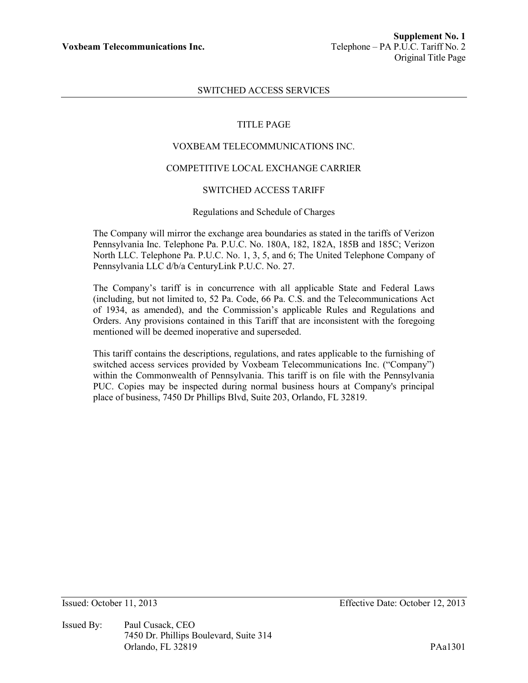## SWITCHED ACCESS SERVICES

#### TITLE PAGE

## VOXBEAM TELECOMMUNICATIONS INC.

#### COMPETITIVE LOCAL EXCHANGE CARRIER

# SWITCHED ACCESS TARIFF

#### Regulations and Schedule of Charges

The Company will mirror the exchange area boundaries as stated in the tariffs of Verizon Pennsylvania Inc. Telephone Pa. P.U.C. No. 180A, 182, 182A, 185B and 185C; Verizon North LLC. Telephone Pa. P.U.C. No. 1, 3, 5, and 6; The United Telephone Company of Pennsylvania LLC d/b/a CenturyLink P.U.C. No. 27.

The Company's tariff is in concurrence with all applicable State and Federal Laws (including, but not limited to, 52 Pa. Code, 66 Pa. C.S. and the Telecommunications Act of 1934, as amended), and the Commission's applicable Rules and Regulations and Orders. Any provisions contained in this Tariff that are inconsistent with the foregoing mentioned will be deemed inoperative and superseded.

This tariff contains the descriptions, regulations, and rates applicable to the furnishing of switched access services provided by Voxbeam Telecommunications Inc. ("Company") within the Commonwealth of Pennsylvania. This tariff is on file with the Pennsylvania PUC. Copies may be inspected during normal business hours at Company's principal place of business, 7450 Dr Phillips Blvd, Suite 203, Orlando, FL 32819.

Issued By: Paul Cusack, CEO 7450 Dr. Phillips Boulevard, Suite 314 Orlando, FL 32819 PAa1301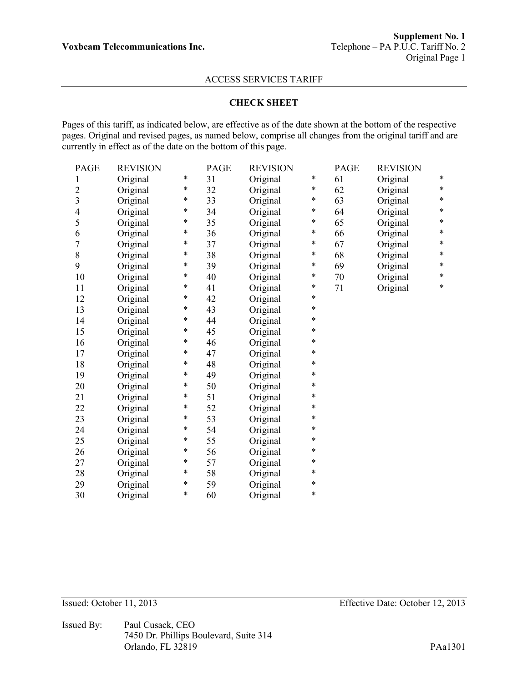## **CHECK SHEET**

Pages of this tariff, as indicated below, are effective as of the date shown at the bottom of the respective pages. Original and revised pages, as named below, comprise all changes from the original tariff and are currently in effect as of the date on the bottom of this page.

| <b>PAGE</b>             | <b>REVISION</b> |   | <b>PAGE</b> | <b>REVISION</b> |        | <b>PAGE</b> | <b>REVISION</b> |        |
|-------------------------|-----------------|---|-------------|-----------------|--------|-------------|-----------------|--------|
| 1                       | Original        | * | 31          | Original        | $\ast$ | 61          | Original        | *      |
| $\overline{2}$          | Original        | * | 32          | Original        | *      | 62          | Original        | $\ast$ |
| $\overline{\mathbf{3}}$ | Original        | * | 33          | Original        | *      | 63          | Original        | $\ast$ |
| $\overline{4}$          | Original        | * | 34          | Original        | *      | 64          | Original        | *      |
| 5                       | Original        | * | 35          | Original        | $\ast$ | 65          | Original        | $\ast$ |
| 6                       | Original        | * | 36          | Original        | *      | 66          | Original        | *      |
| 7                       | Original        | * | 37          | Original        | *      | 67          | Original        | $\ast$ |
| 8                       | Original        | * | 38          | Original        | $\ast$ | 68          | Original        | *      |
| 9                       | Original        | * | 39          | Original        | *      | 69          | Original        | *      |
| 10                      | Original        | * | 40          | Original        | *      | 70          | Original        | $\ast$ |
| 11                      | Original        | * | 41          | Original        | *      | 71          | Original        | $\ast$ |
| 12                      | Original        | * | 42          | Original        | *      |             |                 |        |
| 13                      | Original        | * | 43          | Original        | *      |             |                 |        |
| 14                      | Original        | * | 44          | Original        | *      |             |                 |        |
| 15                      | Original        | * | 45          | Original        | *      |             |                 |        |
| 16                      | Original        | * | 46          | Original        | *      |             |                 |        |
| 17                      | Original        | * | 47          | Original        | *      |             |                 |        |
| 18                      | Original        | * | 48          | Original        | $\ast$ |             |                 |        |
| 19                      | Original        | * | 49          | Original        | $\ast$ |             |                 |        |
| 20                      | Original        | * | 50          | Original        | *      |             |                 |        |
| 21                      | Original        | * | 51          | Original        | *      |             |                 |        |
| 22                      | Original        | * | 52          | Original        | $\ast$ |             |                 |        |
| 23                      | Original        | * | 53          | Original        | *      |             |                 |        |
| 24                      | Original        | * | 54          | Original        | $\ast$ |             |                 |        |
| 25                      | Original        | * | 55          | Original        | $\ast$ |             |                 |        |
| 26                      | Original        | * | 56          | Original        | $\ast$ |             |                 |        |
| 27                      | Original        | * | 57          | Original        | *      |             |                 |        |
| 28                      | Original        | * | 58          | Original        | $\ast$ |             |                 |        |
| 29                      | Original        | * | 59          | Original        | $\ast$ |             |                 |        |
| 30                      | Original        | * | 60          | Original        | *      |             |                 |        |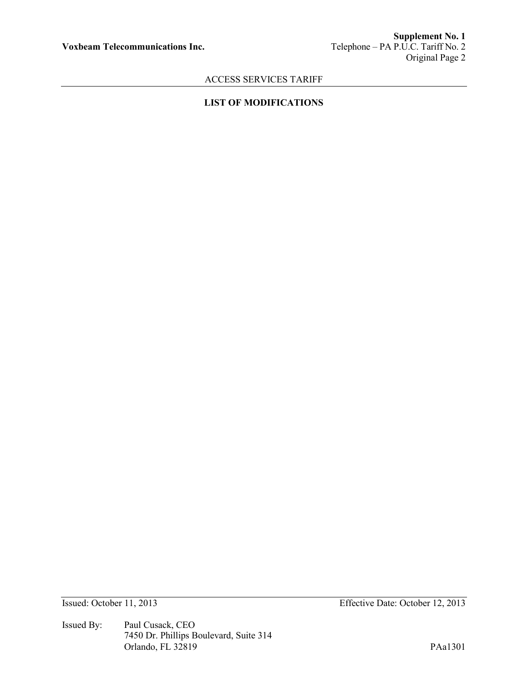# **LIST OF MODIFICATIONS**

Issued By: Paul Cusack, CEO 7450 Dr. Phillips Boulevard, Suite 314 Orlando, FL 32819 PAa1301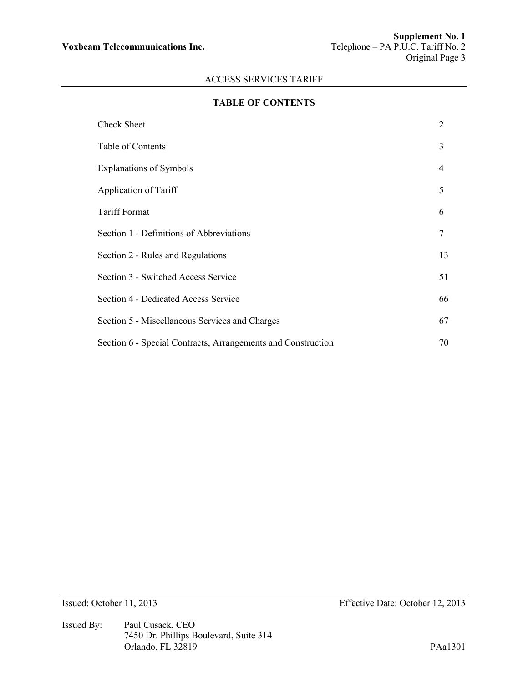# **TABLE OF CONTENTS**

| <b>Check Sheet</b>                                           | 2              |  |  |  |
|--------------------------------------------------------------|----------------|--|--|--|
| Table of Contents                                            | 3              |  |  |  |
| <b>Explanations of Symbols</b>                               | $\overline{4}$ |  |  |  |
| Application of Tariff                                        | 5              |  |  |  |
| <b>Tariff Format</b>                                         | 6              |  |  |  |
| Section 1 - Definitions of Abbreviations                     | 7              |  |  |  |
| Section 2 - Rules and Regulations                            | 13             |  |  |  |
| Section 3 - Switched Access Service                          | 51             |  |  |  |
| Section 4 - Dedicated Access Service                         | 66             |  |  |  |
| Section 5 - Miscellaneous Services and Charges               |                |  |  |  |
| Section 6 - Special Contracts, Arrangements and Construction | 70             |  |  |  |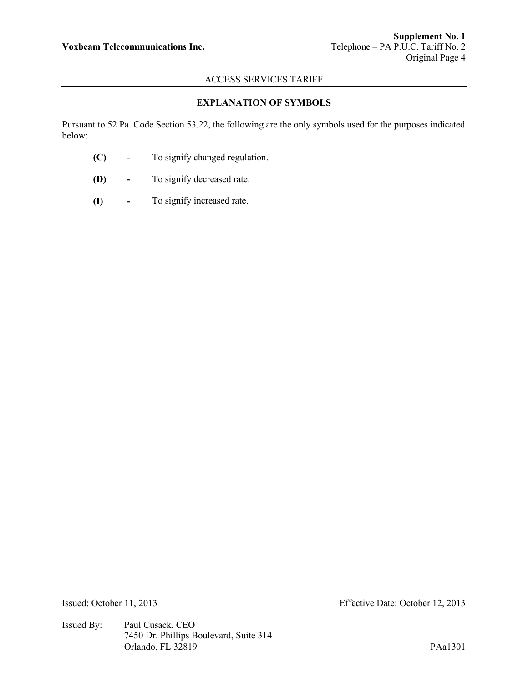# **EXPLANATION OF SYMBOLS**

Pursuant to 52 Pa. Code Section 53.22, the following are the only symbols used for the purposes indicated below:

- **(C) -** To signify changed regulation.
- **(D) -** To signify decreased rate.
- **(I) -** To signify increased rate.

Issued By: Paul Cusack, CEO 7450 Dr. Phillips Boulevard, Suite 314 Orlando, FL 32819 PAa1301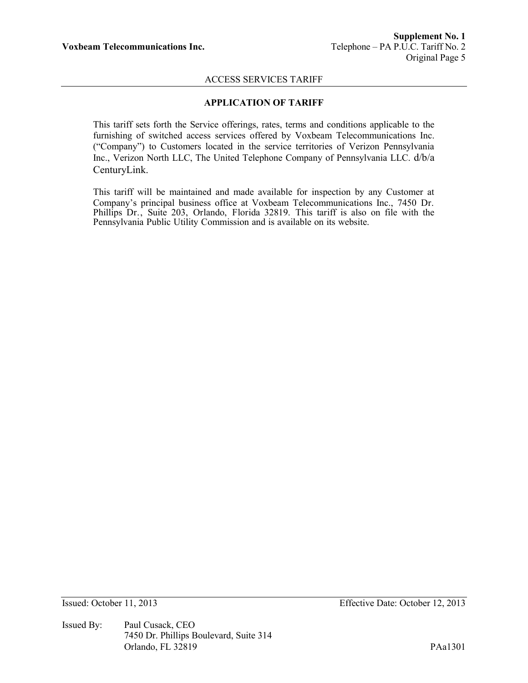## **APPLICATION OF TARIFF**

This tariff sets forth the Service offerings, rates, terms and conditions applicable to the furnishing of switched access services offered by Voxbeam Telecommunications Inc. ("Company") to Customers located in the service territories of Verizon Pennsylvania Inc., Verizon North LLC, The United Telephone Company of Pennsylvania LLC. d/b/a CenturyLink.

This tariff will be maintained and made available for inspection by any Customer at Company's principal business office at Voxbeam Telecommunications Inc., 7450 Dr. Phillips Dr., Suite 203, Orlando, Florida 32819. This tariff is also on file with the Pennsylvania Public Utility Commission and is available on its website.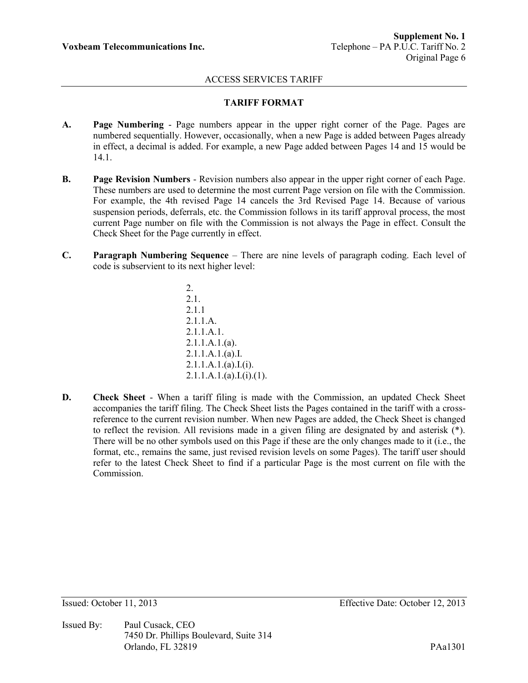# **TARIFF FORMAT**

- **A. Page Numbering**  Page numbers appear in the upper right corner of the Page. Pages are numbered sequentially. However, occasionally, when a new Page is added between Pages already in effect, a decimal is added. For example, a new Page added between Pages 14 and 15 would be 14.1.
- **B. Page Revision Numbers**  Revision numbers also appear in the upper right corner of each Page. These numbers are used to determine the most current Page version on file with the Commission. For example, the 4th revised Page 14 cancels the 3rd Revised Page 14. Because of various suspension periods, deferrals, etc. the Commission follows in its tariff approval process, the most current Page number on file with the Commission is not always the Page in effect. Consult the Check Sheet for the Page currently in effect.
- **C. Paragraph Numbering Sequence**  There are nine levels of paragraph coding. Each level of code is subservient to its next higher level:

2. 2.1. 2.1.1 2.1.1.A. 2.1.1.A.1.  $2.1.1.A.1.(a)$ . 2.1.1.A.1.(a).I.  $2.1.1.A.1.(a).I.(i).$  $2.1.1.A.1.(a).I.(i).(1).$ 

**D. Check Sheet** - When a tariff filing is made with the Commission, an updated Check Sheet accompanies the tariff filing. The Check Sheet lists the Pages contained in the tariff with a crossreference to the current revision number. When new Pages are added, the Check Sheet is changed to reflect the revision. All revisions made in a given filing are designated by and asterisk (\*). There will be no other symbols used on this Page if these are the only changes made to it (i.e., the format, etc., remains the same, just revised revision levels on some Pages). The tariff user should refer to the latest Check Sheet to find if a particular Page is the most current on file with the Commission.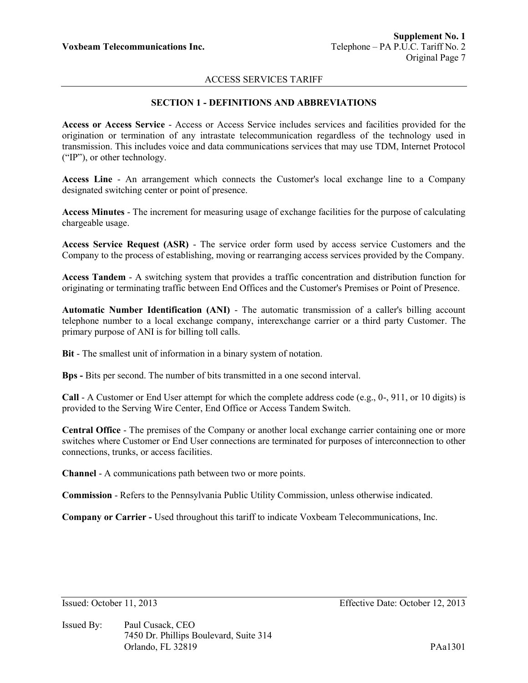# **SECTION 1 - DEFINITIONS AND ABBREVIATIONS**

**Access or Access Service** - Access or Access Service includes services and facilities provided for the origination or termination of any intrastate telecommunication regardless of the technology used in transmission. This includes voice and data communications services that may use TDM, Internet Protocol ("IP"), or other technology.

**Access Line** - An arrangement which connects the Customer's local exchange line to a Company designated switching center or point of presence.

**Access Minutes** - The increment for measuring usage of exchange facilities for the purpose of calculating chargeable usage.

**Access Service Request (ASR)** - The service order form used by access service Customers and the Company to the process of establishing, moving or rearranging access services provided by the Company.

**Access Tandem** - A switching system that provides a traffic concentration and distribution function for originating or terminating traffic between End Offices and the Customer's Premises or Point of Presence.

**Automatic Number Identification (ANI)** - The automatic transmission of a caller's billing account telephone number to a local exchange company, interexchange carrier or a third party Customer. The primary purpose of ANI is for billing toll calls.

**Bit** - The smallest unit of information in a binary system of notation.

**Bps -** Bits per second. The number of bits transmitted in a one second interval.

**Call** - A Customer or End User attempt for which the complete address code (e.g., 0-, 911, or 10 digits) is provided to the Serving Wire Center, End Office or Access Tandem Switch.

**Central Office** - The premises of the Company or another local exchange carrier containing one or more switches where Customer or End User connections are terminated for purposes of interconnection to other connections, trunks, or access facilities.

**Channel** - A communications path between two or more points.

**Commission** - Refers to the Pennsylvania Public Utility Commission, unless otherwise indicated.

**Company or Carrier -** Used throughout this tariff to indicate Voxbeam Telecommunications, Inc.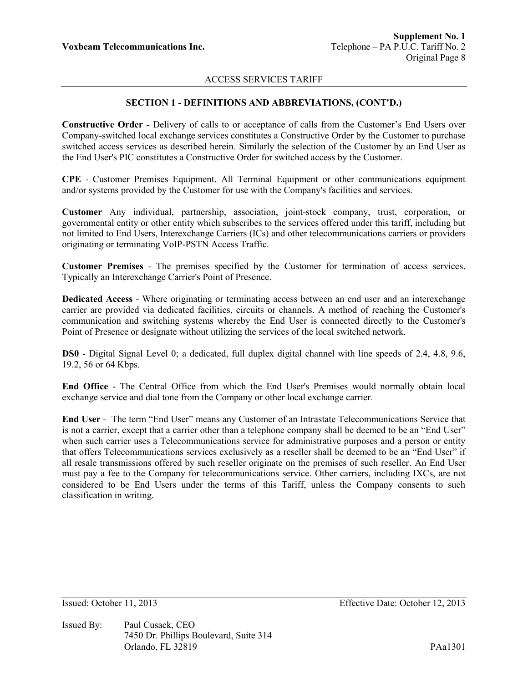## **SECTION 1 - DEFINITIONS AND ABBREVIATIONS, (CONT'D.)**

**Constructive Order -** Delivery of calls to or acceptance of calls from the Customer's End Users over Company-switched local exchange services constitutes a Constructive Order by the Customer to purchase switched access services as described herein. Similarly the selection of the Customer by an End User as the End User's PIC constitutes a Constructive Order for switched access by the Customer.

**CPE** - Customer Premises Equipment. All Terminal Equipment or other communications equipment and/or systems provided by the Customer for use with the Company's facilities and services.

**Customer** Any individual, partnership, association, joint-stock company, trust, corporation, or governmental entity or other entity which subscribes to the services offered under this tariff, including but not limited to End Users, Interexchange Carriers (ICs) and other telecommunications carriers or providers originating or terminating VoIP-PSTN Access Traffic.

**Customer Premises** - The premises specified by the Customer for termination of access services. Typically an Interexchange Carrier's Point of Presence.

**Dedicated Access** - Where originating or terminating access between an end user and an interexchange carrier are provided via dedicated facilities, circuits or channels. A method of reaching the Customer's communication and switching systems whereby the End User is connected directly to the Customer's Point of Presence or designate without utilizing the services of the local switched network.

**DS0** - Digital Signal Level 0; a dedicated, full duplex digital channel with line speeds of 2.4, 4.8, 9.6, 19.2, 56 or 64 Kbps.

**End Office** - The Central Office from which the End User's Premises would normally obtain local exchange service and dial tone from the Company or other local exchange carrier.

**End User** - The term "End User" means any Customer of an Intrastate Telecommunications Service that is not a carrier, except that a carrier other than a telephone company shall be deemed to be an "End User" when such carrier uses a Telecommunications service for administrative purposes and a person or entity that offers Telecommunications services exclusively as a reseller shall be deemed to be an "End User" if all resale transmissions offered by such reseller originate on the premises of such reseller. An End User must pay a fee to the Company for telecommunications service. Other carriers, including IXCs, are not considered to be End Users under the terms of this Tariff, unless the Company consents to such classification in writing.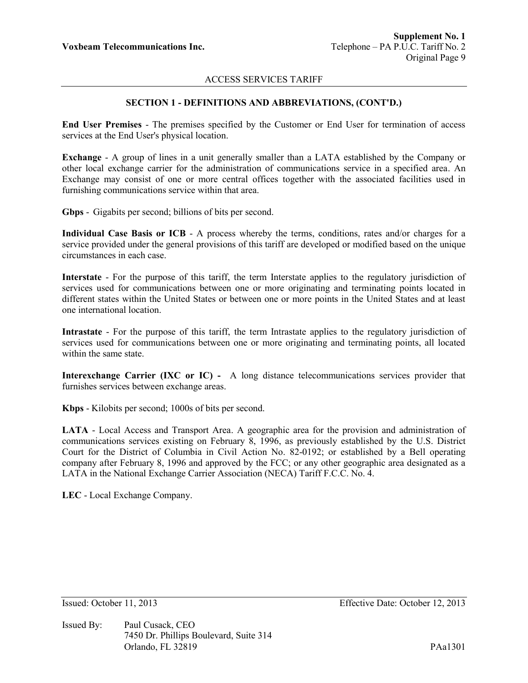## **SECTION 1 - DEFINITIONS AND ABBREVIATIONS, (CONT'D.)**

**End User Premises** - The premises specified by the Customer or End User for termination of access services at the End User's physical location.

**Exchange** - A group of lines in a unit generally smaller than a LATA established by the Company or other local exchange carrier for the administration of communications service in a specified area. An Exchange may consist of one or more central offices together with the associated facilities used in furnishing communications service within that area.

**Gbps** - Gigabits per second; billions of bits per second.

**Individual Case Basis or ICB** - A process whereby the terms, conditions, rates and/or charges for a service provided under the general provisions of this tariff are developed or modified based on the unique circumstances in each case.

**Interstate** - For the purpose of this tariff, the term Interstate applies to the regulatory jurisdiction of services used for communications between one or more originating and terminating points located in different states within the United States or between one or more points in the United States and at least one international location.

**Intrastate** - For the purpose of this tariff, the term Intrastate applies to the regulatory jurisdiction of services used for communications between one or more originating and terminating points, all located within the same state.

**Interexchange Carrier (IXC or IC) -** A long distance telecommunications services provider that furnishes services between exchange areas.

**Kbps** - Kilobits per second; 1000s of bits per second.

**LATA** - Local Access and Transport Area. A geographic area for the provision and administration of communications services existing on February 8, 1996, as previously established by the U.S. District Court for the District of Columbia in Civil Action No. 82-0192; or established by a Bell operating company after February 8, 1996 and approved by the FCC; or any other geographic area designated as a LATA in the National Exchange Carrier Association (NECA) Tariff F.C.C. No. 4.

**LEC** - Local Exchange Company.

Issued By: Paul Cusack, CEO 7450 Dr. Phillips Boulevard, Suite 314 Orlando, FL 32819 PAa1301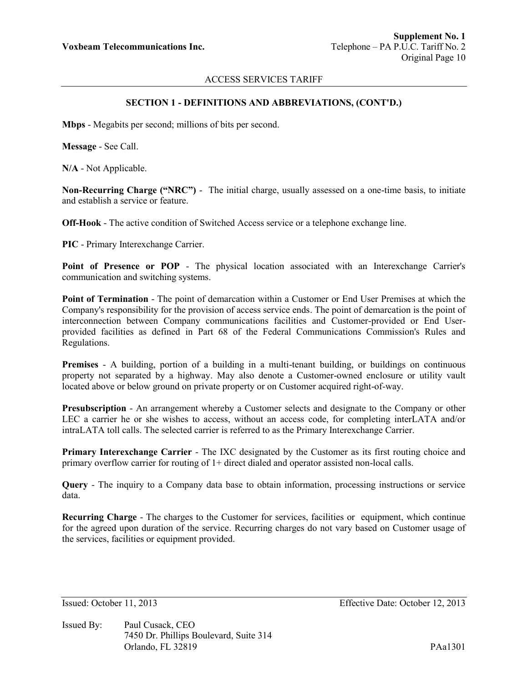#### **SECTION 1 - DEFINITIONS AND ABBREVIATIONS, (CONT'D.)**

**Mbps** - Megabits per second; millions of bits per second.

**Message** - See Call.

**N/A** - Not Applicable.

**Non-Recurring Charge ("NRC")** - The initial charge, usually assessed on a one-time basis, to initiate and establish a service or feature.

**Off-Hook** - The active condition of Switched Access service or a telephone exchange line.

**PIC** - Primary Interexchange Carrier.

**Point of Presence or POP** - The physical location associated with an Interexchange Carrier's communication and switching systems.

**Point of Termination** - The point of demarcation within a Customer or End User Premises at which the Company's responsibility for the provision of access service ends. The point of demarcation is the point of interconnection between Company communications facilities and Customer-provided or End Userprovided facilities as defined in Part 68 of the Federal Communications Commission's Rules and Regulations.

**Premises** - A building, portion of a building in a multi-tenant building, or buildings on continuous property not separated by a highway. May also denote a Customer-owned enclosure or utility vault located above or below ground on private property or on Customer acquired right-of-way.

**Presubscription** - An arrangement whereby a Customer selects and designate to the Company or other LEC a carrier he or she wishes to access, without an access code, for completing interLATA and/or intraLATA toll calls. The selected carrier is referred to as the Primary Interexchange Carrier.

**Primary Interexchange Carrier** - The IXC designated by the Customer as its first routing choice and primary overflow carrier for routing of 1+ direct dialed and operator assisted non-local calls.

**Query** - The inquiry to a Company data base to obtain information, processing instructions or service data.

**Recurring Charge** - The charges to the Customer for services, facilities or equipment, which continue for the agreed upon duration of the service. Recurring charges do not vary based on Customer usage of the services, facilities or equipment provided.

Issued By: Paul Cusack, CEO 7450 Dr. Phillips Boulevard, Suite 314 Orlando, FL 32819 PAa1301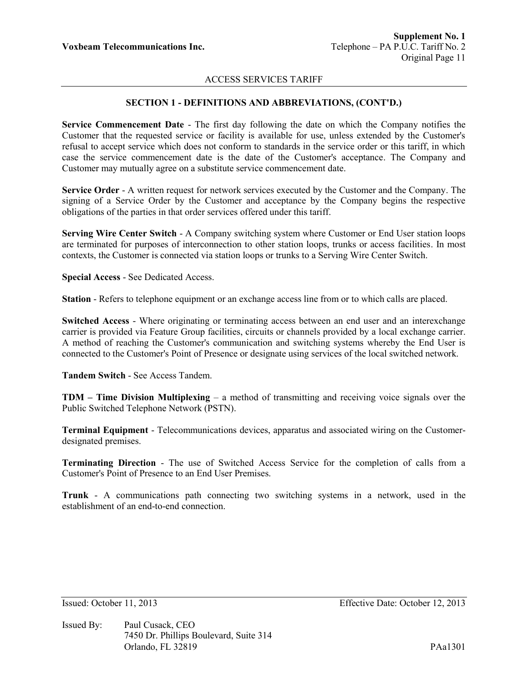# **SECTION 1 - DEFINITIONS AND ABBREVIATIONS, (CONT'D.)**

**Service Commencement Date** - The first day following the date on which the Company notifies the Customer that the requested service or facility is available for use, unless extended by the Customer's refusal to accept service which does not conform to standards in the service order or this tariff, in which case the service commencement date is the date of the Customer's acceptance. The Company and Customer may mutually agree on a substitute service commencement date.

**Service Order** - A written request for network services executed by the Customer and the Company. The signing of a Service Order by the Customer and acceptance by the Company begins the respective obligations of the parties in that order services offered under this tariff.

**Serving Wire Center Switch** - A Company switching system where Customer or End User station loops are terminated for purposes of interconnection to other station loops, trunks or access facilities. In most contexts, the Customer is connected via station loops or trunks to a Serving Wire Center Switch.

**Special Access** - See Dedicated Access.

**Station** - Refers to telephone equipment or an exchange access line from or to which calls are placed.

**Switched Access** - Where originating or terminating access between an end user and an interexchange carrier is provided via Feature Group facilities, circuits or channels provided by a local exchange carrier. A method of reaching the Customer's communication and switching systems whereby the End User is connected to the Customer's Point of Presence or designate using services of the local switched network.

**Tandem Switch** - See Access Tandem.

**TDM – Time Division Multiplexing** – a method of transmitting and receiving voice signals over the Public Switched Telephone Network (PSTN).

**Terminal Equipment** - Telecommunications devices, apparatus and associated wiring on the Customerdesignated premises.

**Terminating Direction** - The use of Switched Access Service for the completion of calls from a Customer's Point of Presence to an End User Premises.

**Trunk** - A communications path connecting two switching systems in a network, used in the establishment of an end-to-end connection.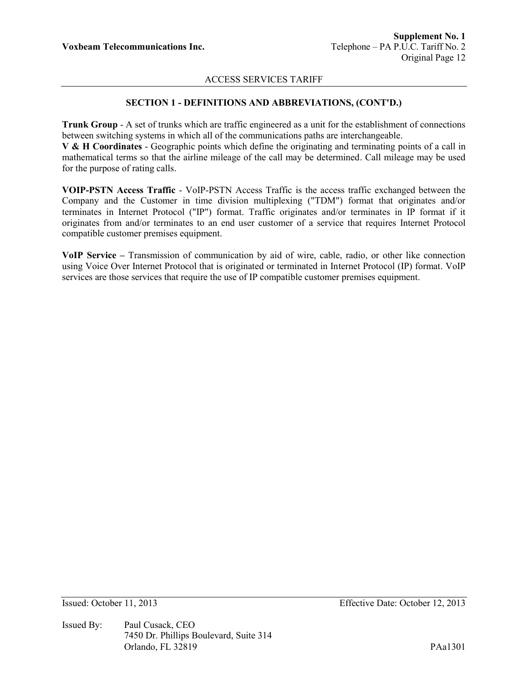# **SECTION 1 - DEFINITIONS AND ABBREVIATIONS, (CONT'D.)**

**Trunk Group** - A set of trunks which are traffic engineered as a unit for the establishment of connections between switching systems in which all of the communications paths are interchangeable.

**V & H Coordinates** - Geographic points which define the originating and terminating points of a call in mathematical terms so that the airline mileage of the call may be determined. Call mileage may be used for the purpose of rating calls.

**VOIP-PSTN Access Traffic** - VoIP-PSTN Access Traffic is the access traffic exchanged between the Company and the Customer in time division multiplexing ("TDM") format that originates and/or terminates in Internet Protocol ("IP") format. Traffic originates and/or terminates in IP format if it originates from and/or terminates to an end user customer of a service that requires Internet Protocol compatible customer premises equipment.

**VoIP Service –** Transmission of communication by aid of wire, cable, radio, or other like connection using Voice Over Internet Protocol that is originated or terminated in Internet Protocol (IP) format. VoIP services are those services that require the use of IP compatible customer premises equipment.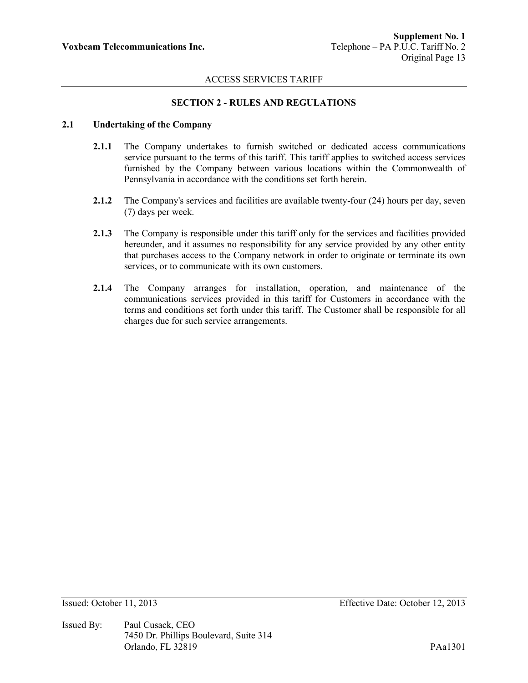## **SECTION 2 - RULES AND REGULATIONS**

# **2.1 Undertaking of the Company**

- **2.1.1** The Company undertakes to furnish switched or dedicated access communications service pursuant to the terms of this tariff. This tariff applies to switched access services furnished by the Company between various locations within the Commonwealth of Pennsylvania in accordance with the conditions set forth herein.
- **2.1.2** The Company's services and facilities are available twenty-four (24) hours per day, seven (7) days per week.
- **2.1.3** The Company is responsible under this tariff only for the services and facilities provided hereunder, and it assumes no responsibility for any service provided by any other entity that purchases access to the Company network in order to originate or terminate its own services, or to communicate with its own customers.
- **2.1.4** The Company arranges for installation, operation, and maintenance of the communications services provided in this tariff for Customers in accordance with the terms and conditions set forth under this tariff. The Customer shall be responsible for all charges due for such service arrangements.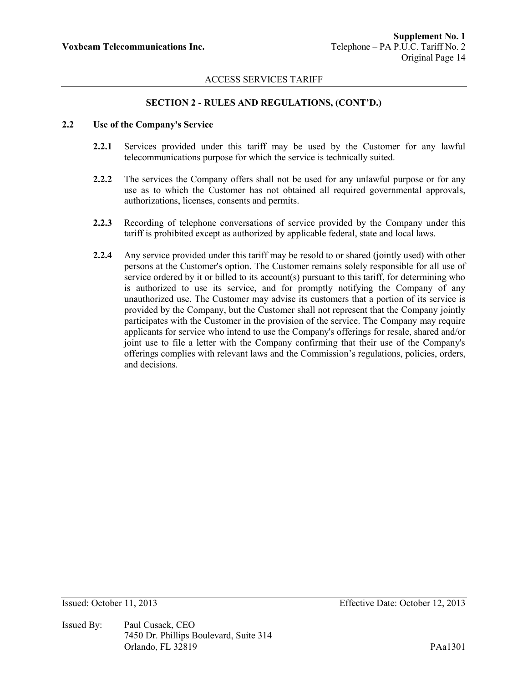#### **SECTION 2 - RULES AND REGULATIONS, (CONT'D.)**

# **2.2 Use of the Company's Service**

- **2.2.1** Services provided under this tariff may be used by the Customer for any lawful telecommunications purpose for which the service is technically suited.
- **2.2.2** The services the Company offers shall not be used for any unlawful purpose or for any use as to which the Customer has not obtained all required governmental approvals, authorizations, licenses, consents and permits.
- **2.2.3** Recording of telephone conversations of service provided by the Company under this tariff is prohibited except as authorized by applicable federal, state and local laws.
- **2.2.4** Any service provided under this tariff may be resold to or shared (jointly used) with other persons at the Customer's option. The Customer remains solely responsible for all use of service ordered by it or billed to its account(s) pursuant to this tariff, for determining who is authorized to use its service, and for promptly notifying the Company of any unauthorized use. The Customer may advise its customers that a portion of its service is provided by the Company, but the Customer shall not represent that the Company jointly participates with the Customer in the provision of the service. The Company may require applicants for service who intend to use the Company's offerings for resale, shared and/or joint use to file a letter with the Company confirming that their use of the Company's offerings complies with relevant laws and the Commission's regulations, policies, orders, and decisions.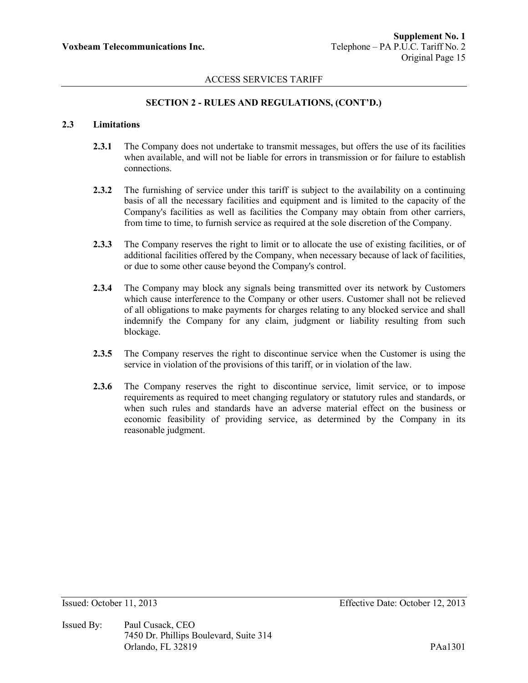## **SECTION 2 - RULES AND REGULATIONS, (CONT'D.)**

# **2.3 Limitations**

- **2.3.1** The Company does not undertake to transmit messages, but offers the use of its facilities when available, and will not be liable for errors in transmission or for failure to establish connections.
- **2.3.2** The furnishing of service under this tariff is subject to the availability on a continuing basis of all the necessary facilities and equipment and is limited to the capacity of the Company's facilities as well as facilities the Company may obtain from other carriers, from time to time, to furnish service as required at the sole discretion of the Company.
- 2.3.3 The Company reserves the right to limit or to allocate the use of existing facilities, or of additional facilities offered by the Company, when necessary because of lack of facilities, or due to some other cause beyond the Company's control.
- **2.3.4** The Company may block any signals being transmitted over its network by Customers which cause interference to the Company or other users. Customer shall not be relieved of all obligations to make payments for charges relating to any blocked service and shall indemnify the Company for any claim, judgment or liability resulting from such blockage.
- **2.3.5** The Company reserves the right to discontinue service when the Customer is using the service in violation of the provisions of this tariff, or in violation of the law.
- **2.3.6** The Company reserves the right to discontinue service, limit service, or to impose requirements as required to meet changing regulatory or statutory rules and standards, or when such rules and standards have an adverse material effect on the business or economic feasibility of providing service, as determined by the Company in its reasonable judgment.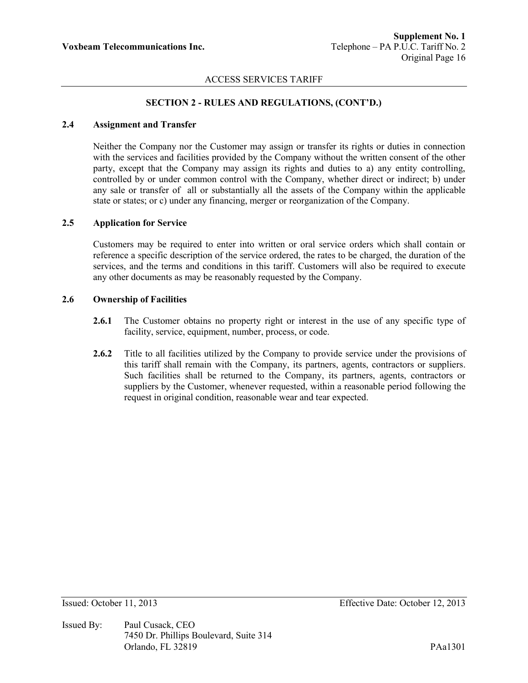## **SECTION 2 - RULES AND REGULATIONS, (CONT'D.)**

# **2.4 Assignment and Transfer**

Neither the Company nor the Customer may assign or transfer its rights or duties in connection with the services and facilities provided by the Company without the written consent of the other party, except that the Company may assign its rights and duties to a) any entity controlling, controlled by or under common control with the Company, whether direct or indirect; b) under any sale or transfer of all or substantially all the assets of the Company within the applicable state or states; or c) under any financing, merger or reorganization of the Company.

## **2.5 Application for Service**

Customers may be required to enter into written or oral service orders which shall contain or reference a specific description of the service ordered, the rates to be charged, the duration of the services, and the terms and conditions in this tariff. Customers will also be required to execute any other documents as may be reasonably requested by the Company.

#### **2.6 Ownership of Facilities**

- **2.6.1** The Customer obtains no property right or interest in the use of any specific type of facility, service, equipment, number, process, or code.
- **2.6.2** Title to all facilities utilized by the Company to provide service under the provisions of this tariff shall remain with the Company, its partners, agents, contractors or suppliers. Such facilities shall be returned to the Company, its partners, agents, contractors or suppliers by the Customer, whenever requested, within a reasonable period following the request in original condition, reasonable wear and tear expected.

Issued By: Paul Cusack, CEO 7450 Dr. Phillips Boulevard, Suite 314 Orlando, FL 32819 PAa1301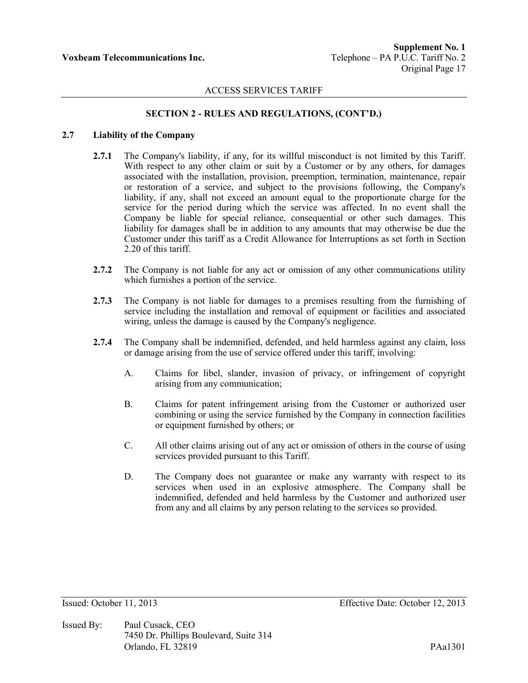## **SECTION 2 - RULES AND REGULATIONS, (CONT'D.)**

## **2.7 Liability of the Company**

- **2.7.1** The Company's liability, if any, for its willful misconduct is not limited by this Tariff. With respect to any other claim or suit by a Customer or by any others, for damages associated with the installation, provision, preemption, termination, maintenance, repair or restoration of a service, and subject to the provisions following, the Company's liability, if any, shall not exceed an amount equal to the proportionate charge for the service for the period during which the service was affected. In no event shall the Company be liable for special reliance, consequential or other such damages. This liability for damages shall be in addition to any amounts that may otherwise be due the Customer under this tariff as a Credit Allowance for Interruptions as set forth in Section 2.20 of this tariff.
- **2.7.2** The Company is not liable for any act or omission of any other communications utility which furnishes a portion of the service.
- **2.7.3** The Company is not liable for damages to a premises resulting from the furnishing of service including the installation and removal of equipment or facilities and associated wiring, unless the damage is caused by the Company's negligence.
- **2.7.4** The Company shall be indemnified, defended, and held harmless against any claim, loss or damage arising from the use of service offered under this tariff, involving:
	- A. Claims for libel, slander, invasion of privacy, or infringement of copyright arising from any communication;
	- B. Claims for patent infringement arising from the Customer or authorized user combining or using the service furnished by the Company in connection facilities or equipment furnished by others; or
	- C. All other claims arising out of any act or omission of others in the course of using services provided pursuant to this Tariff.
	- D. The Company does not guarantee or make any warranty with respect to its services when used in an explosive atmosphere. The Company shall be indemnified, defended and held harmless by the Customer and authorized user from any and all claims by any person relating to the services so provided.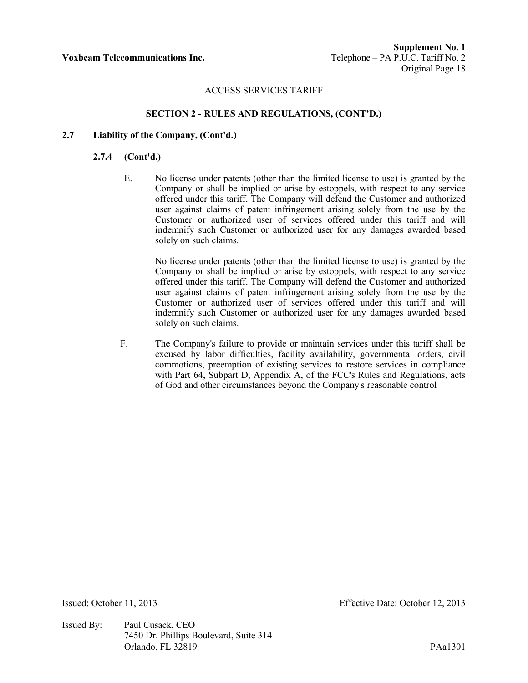# **SECTION 2 - RULES AND REGULATIONS, (CONT'D.)**

## **2.7 Liability of the Company, (Cont'd.)**

#### **2.7.4 (Cont'd.)**

E. No license under patents (other than the limited license to use) is granted by the Company or shall be implied or arise by estoppels, with respect to any service offered under this tariff. The Company will defend the Customer and authorized user against claims of patent infringement arising solely from the use by the Customer or authorized user of services offered under this tariff and will indemnify such Customer or authorized user for any damages awarded based solely on such claims.

No license under patents (other than the limited license to use) is granted by the Company or shall be implied or arise by estoppels, with respect to any service offered under this tariff. The Company will defend the Customer and authorized user against claims of patent infringement arising solely from the use by the Customer or authorized user of services offered under this tariff and will indemnify such Customer or authorized user for any damages awarded based solely on such claims.

F. The Company's failure to provide or maintain services under this tariff shall be excused by labor difficulties, facility availability, governmental orders, civil commotions, preemption of existing services to restore services in compliance with Part 64, Subpart D, Appendix A, of the FCC's Rules and Regulations, acts of God and other circumstances beyond the Company's reasonable control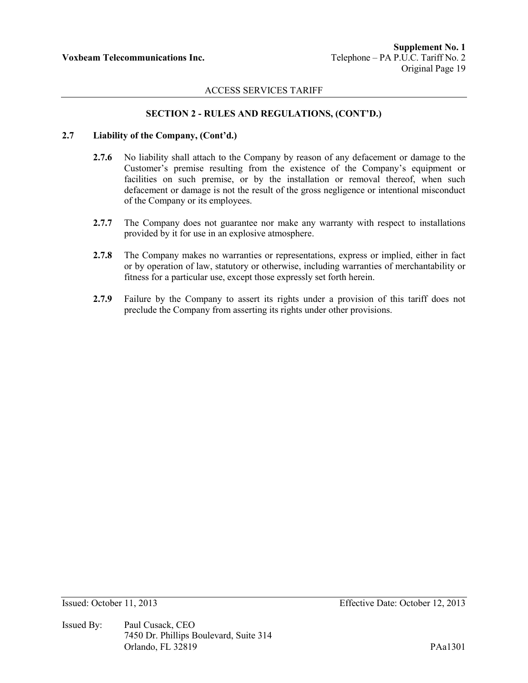## **SECTION 2 - RULES AND REGULATIONS, (CONT'D.)**

#### **2.7 Liability of the Company, (Cont'd.)**

- **2.7.6** No liability shall attach to the Company by reason of any defacement or damage to the Customer's premise resulting from the existence of the Company's equipment or facilities on such premise, or by the installation or removal thereof, when such defacement or damage is not the result of the gross negligence or intentional misconduct of the Company or its employees.
- **2.7.7** The Company does not guarantee nor make any warranty with respect to installations provided by it for use in an explosive atmosphere.
- **2.7.8** The Company makes no warranties or representations, express or implied, either in fact or by operation of law, statutory or otherwise, including warranties of merchantability or fitness for a particular use, except those expressly set forth herein.
- **2.7.9** Failure by the Company to assert its rights under a provision of this tariff does not preclude the Company from asserting its rights under other provisions.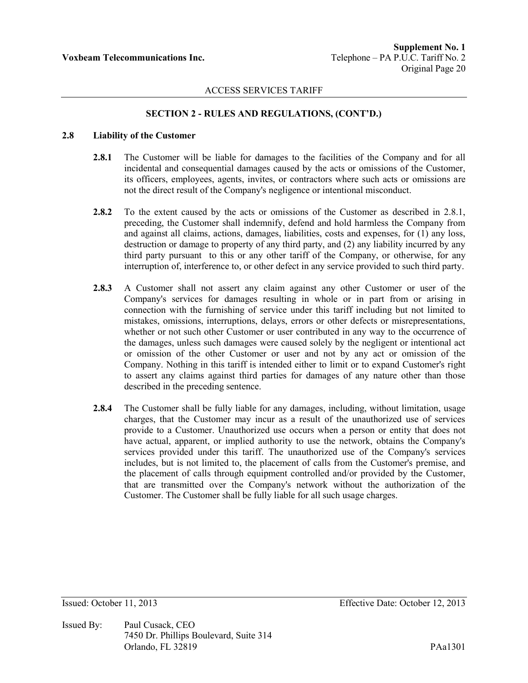# **SECTION 2 - RULES AND REGULATIONS, (CONT'D.)**

## **2.8 Liability of the Customer**

- **2.8.1** The Customer will be liable for damages to the facilities of the Company and for all incidental and consequential damages caused by the acts or omissions of the Customer, its officers, employees, agents, invites, or contractors where such acts or omissions are not the direct result of the Company's negligence or intentional misconduct.
- **2.8.2** To the extent caused by the acts or omissions of the Customer as described in 2.8.1, preceding, the Customer shall indemnify, defend and hold harmless the Company from and against all claims, actions, damages, liabilities, costs and expenses, for (1) any loss, destruction or damage to property of any third party, and (2) any liability incurred by any third party pursuant to this or any other tariff of the Company, or otherwise, for any interruption of, interference to, or other defect in any service provided to such third party.
- **2.8.3** A Customer shall not assert any claim against any other Customer or user of the Company's services for damages resulting in whole or in part from or arising in connection with the furnishing of service under this tariff including but not limited to mistakes, omissions, interruptions, delays, errors or other defects or misrepresentations, whether or not such other Customer or user contributed in any way to the occurrence of the damages, unless such damages were caused solely by the negligent or intentional act or omission of the other Customer or user and not by any act or omission of the Company. Nothing in this tariff is intended either to limit or to expand Customer's right to assert any claims against third parties for damages of any nature other than those described in the preceding sentence.
- **2.8.4** The Customer shall be fully liable for any damages, including, without limitation, usage charges, that the Customer may incur as a result of the unauthorized use of services provide to a Customer. Unauthorized use occurs when a person or entity that does not have actual, apparent, or implied authority to use the network, obtains the Company's services provided under this tariff. The unauthorized use of the Company's services includes, but is not limited to, the placement of calls from the Customer's premise, and the placement of calls through equipment controlled and/or provided by the Customer, that are transmitted over the Company's network without the authorization of the Customer. The Customer shall be fully liable for all such usage charges.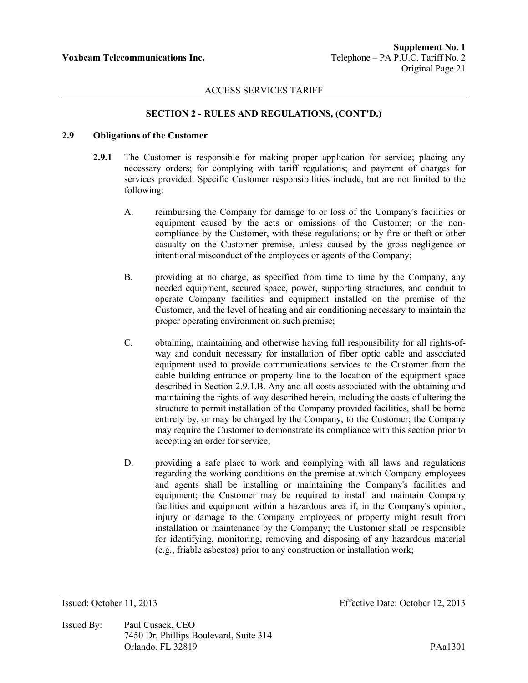## **SECTION 2 - RULES AND REGULATIONS, (CONT'D.)**

## **2.9 Obligations of the Customer**

- **2.9.1** The Customer is responsible for making proper application for service; placing any necessary orders; for complying with tariff regulations; and payment of charges for services provided. Specific Customer responsibilities include, but are not limited to the following:
	- A. reimbursing the Company for damage to or loss of the Company's facilities or equipment caused by the acts or omissions of the Customer; or the noncompliance by the Customer, with these regulations; or by fire or theft or other casualty on the Customer premise, unless caused by the gross negligence or intentional misconduct of the employees or agents of the Company;
	- B. providing at no charge, as specified from time to time by the Company, any needed equipment, secured space, power, supporting structures, and conduit to operate Company facilities and equipment installed on the premise of the Customer, and the level of heating and air conditioning necessary to maintain the proper operating environment on such premise;
	- C. obtaining, maintaining and otherwise having full responsibility for all rights-ofway and conduit necessary for installation of fiber optic cable and associated equipment used to provide communications services to the Customer from the cable building entrance or property line to the location of the equipment space described in Section 2.9.1.B. Any and all costs associated with the obtaining and maintaining the rights-of-way described herein, including the costs of altering the structure to permit installation of the Company provided facilities, shall be borne entirely by, or may be charged by the Company, to the Customer; the Company may require the Customer to demonstrate its compliance with this section prior to accepting an order for service;
	- D. providing a safe place to work and complying with all laws and regulations regarding the working conditions on the premise at which Company employees and agents shall be installing or maintaining the Company's facilities and equipment; the Customer may be required to install and maintain Company facilities and equipment within a hazardous area if, in the Company's opinion, injury or damage to the Company employees or property might result from installation or maintenance by the Company; the Customer shall be responsible for identifying, monitoring, removing and disposing of any hazardous material (e.g., friable asbestos) prior to any construction or installation work;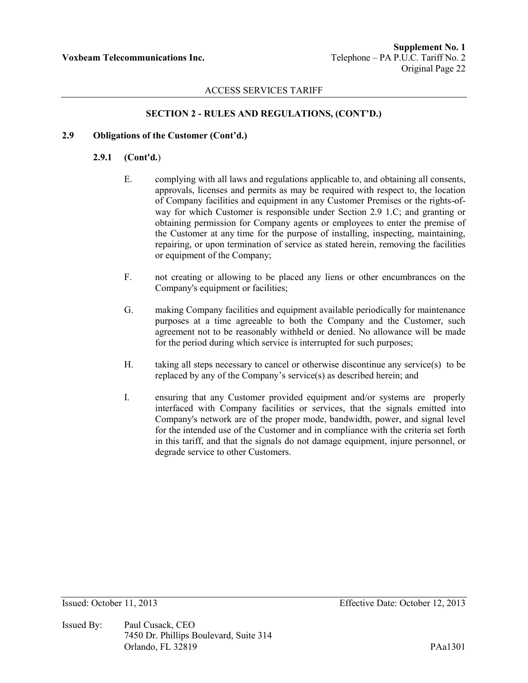# **SECTION 2 - RULES AND REGULATIONS, (CONT'D.)**

## **2.9 Obligations of the Customer (Cont'd.)**

## **2.9.1 (Cont'd.**)

- E. complying with all laws and regulations applicable to, and obtaining all consents, approvals, licenses and permits as may be required with respect to, the location of Company facilities and equipment in any Customer Premises or the rights-ofway for which Customer is responsible under Section 2.9 1.C; and granting or obtaining permission for Company agents or employees to enter the premise of the Customer at any time for the purpose of installing, inspecting, maintaining, repairing, or upon termination of service as stated herein, removing the facilities or equipment of the Company;
- F. not creating or allowing to be placed any liens or other encumbrances on the Company's equipment or facilities;
- G. making Company facilities and equipment available periodically for maintenance purposes at a time agreeable to both the Company and the Customer, such agreement not to be reasonably withheld or denied. No allowance will be made for the period during which service is interrupted for such purposes;
- H. taking all steps necessary to cancel or otherwise discontinue any service(s) to be replaced by any of the Company's service(s) as described herein; and
- I. ensuring that any Customer provided equipment and/or systems are properly interfaced with Company facilities or services, that the signals emitted into Company's network are of the proper mode, bandwidth, power, and signal level for the intended use of the Customer and in compliance with the criteria set forth in this tariff, and that the signals do not damage equipment, injure personnel, or degrade service to other Customers.

Issued By: Paul Cusack, CEO 7450 Dr. Phillips Boulevard, Suite 314 Orlando, FL 32819 PAa1301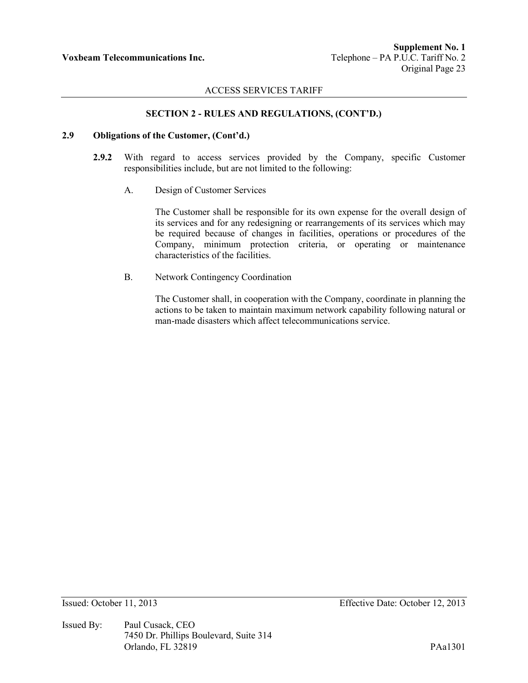## **SECTION 2 - RULES AND REGULATIONS, (CONT'D.)**

#### **2.9 Obligations of the Customer, (Cont'd.)**

- **2.9.2** With regard to access services provided by the Company, specific Customer responsibilities include, but are not limited to the following:
	- A. Design of Customer Services

The Customer shall be responsible for its own expense for the overall design of its services and for any redesigning or rearrangements of its services which may be required because of changes in facilities, operations or procedures of the Company, minimum protection criteria, or operating or maintenance characteristics of the facilities.

B. Network Contingency Coordination

The Customer shall, in cooperation with the Company, coordinate in planning the actions to be taken to maintain maximum network capability following natural or man-made disasters which affect telecommunications service.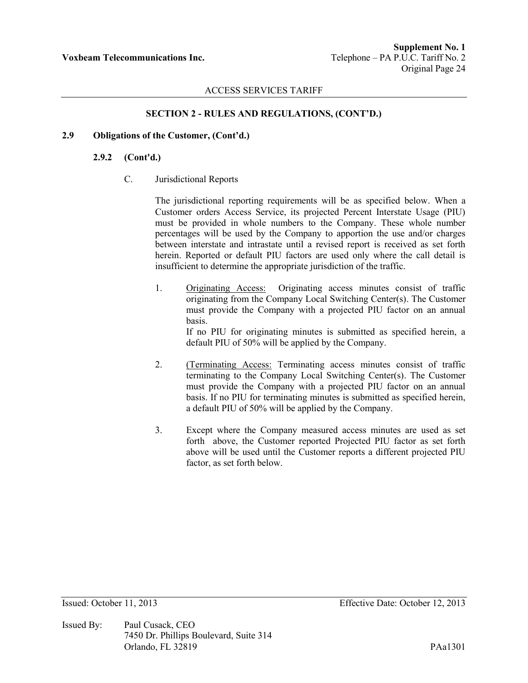## **SECTION 2 - RULES AND REGULATIONS, (CONT'D.)**

## **2.9 Obligations of the Customer, (Cont'd.)**

## **2.9.2 (Cont'd.)**

C. Jurisdictional Reports

The jurisdictional reporting requirements will be as specified below. When a Customer orders Access Service, its projected Percent Interstate Usage (PIU) must be provided in whole numbers to the Company. These whole number percentages will be used by the Company to apportion the use and/or charges between interstate and intrastate until a revised report is received as set forth herein. Reported or default PIU factors are used only where the call detail is insufficient to determine the appropriate jurisdiction of the traffic.

- 1. Originating Access: Originating access minutes consist of traffic originating from the Company Local Switching Center(s). The Customer must provide the Company with a projected PIU factor on an annual basis. If no PIU for originating minutes is submitted as specified herein, a default PIU of 50% will be applied by the Company.
- 2. (Terminating Access: Terminating access minutes consist of traffic terminating to the Company Local Switching Center(s). The Customer must provide the Company with a projected PIU factor on an annual basis. If no PIU for terminating minutes is submitted as specified herein, a default PIU of 50% will be applied by the Company.
- 3. Except where the Company measured access minutes are used as set forth above, the Customer reported Projected PIU factor as set forth above will be used until the Customer reports a different projected PIU factor, as set forth below.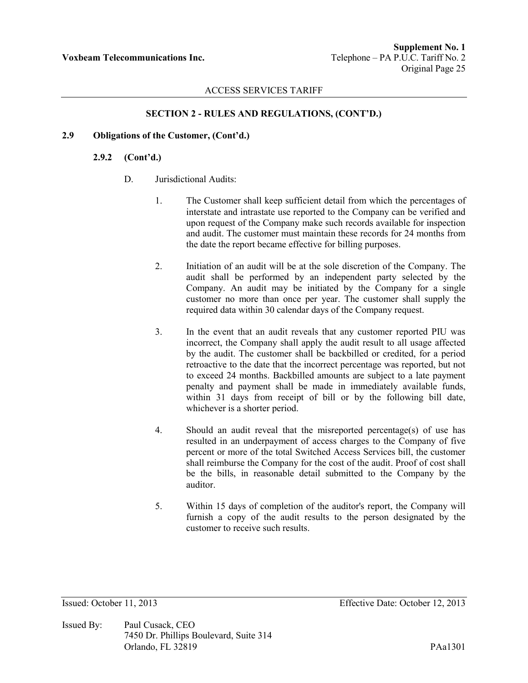# **SECTION 2 - RULES AND REGULATIONS, (CONT'D.)**

## **2.9 Obligations of the Customer, (Cont'd.)**

## **2.9.2 (Cont'd.)**

- D. Jurisdictional Audits:
	- 1. The Customer shall keep sufficient detail from which the percentages of interstate and intrastate use reported to the Company can be verified and upon request of the Company make such records available for inspection and audit. The customer must maintain these records for 24 months from the date the report became effective for billing purposes.
	- 2. Initiation of an audit will be at the sole discretion of the Company. The audit shall be performed by an independent party selected by the Company. An audit may be initiated by the Company for a single customer no more than once per year. The customer shall supply the required data within 30 calendar days of the Company request.
	- 3. In the event that an audit reveals that any customer reported PIU was incorrect, the Company shall apply the audit result to all usage affected by the audit. The customer shall be backbilled or credited, for a period retroactive to the date that the incorrect percentage was reported, but not to exceed 24 months. Backbilled amounts are subject to a late payment penalty and payment shall be made in immediately available funds, within 31 days from receipt of bill or by the following bill date, whichever is a shorter period.
	- 4. Should an audit reveal that the misreported percentage(s) of use has resulted in an underpayment of access charges to the Company of five percent or more of the total Switched Access Services bill, the customer shall reimburse the Company for the cost of the audit. Proof of cost shall be the bills, in reasonable detail submitted to the Company by the auditor.
	- 5. Within 15 days of completion of the auditor's report, the Company will furnish a copy of the audit results to the person designated by the customer to receive such results.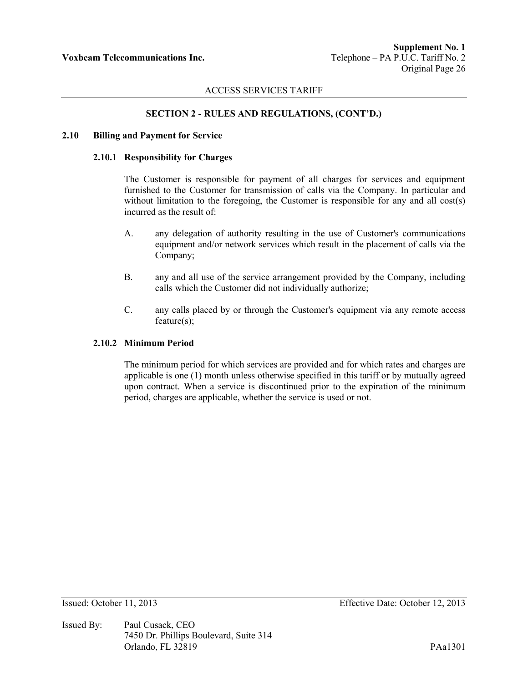# **SECTION 2 - RULES AND REGULATIONS, (CONT'D.)**

#### **2.10 Billing and Payment for Service**

#### **2.10.1 Responsibility for Charges**

The Customer is responsible for payment of all charges for services and equipment furnished to the Customer for transmission of calls via the Company. In particular and without limitation to the foregoing, the Customer is responsible for any and all cost(s) incurred as the result of:

- A. any delegation of authority resulting in the use of Customer's communications equipment and/or network services which result in the placement of calls via the Company;
- B. any and all use of the service arrangement provided by the Company, including calls which the Customer did not individually authorize;
- C. any calls placed by or through the Customer's equipment via any remote access feature(s);

## **2.10.2 Minimum Period**

The minimum period for which services are provided and for which rates and charges are applicable is one (1) month unless otherwise specified in this tariff or by mutually agreed upon contract. When a service is discontinued prior to the expiration of the minimum period, charges are applicable, whether the service is used or not.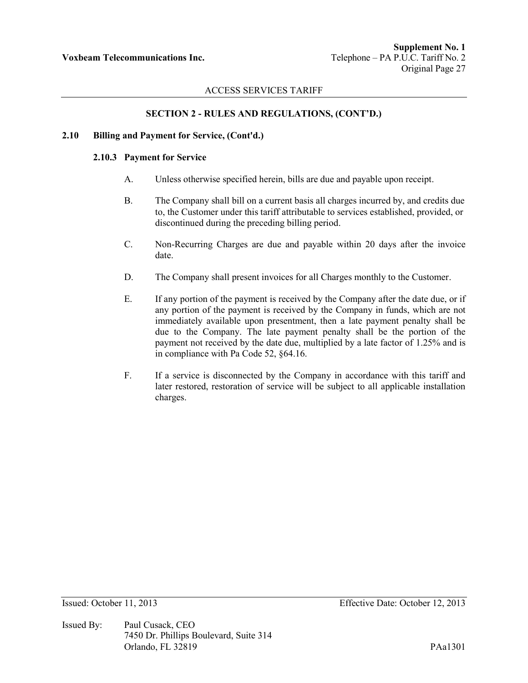# **SECTION 2 - RULES AND REGULATIONS, (CONT'D.)**

#### **2.10 Billing and Payment for Service, (Cont'd.)**

#### **2.10.3 Payment for Service**

- A. Unless otherwise specified herein, bills are due and payable upon receipt.
- B. The Company shall bill on a current basis all charges incurred by, and credits due to, the Customer under this tariff attributable to services established, provided, or discontinued during the preceding billing period.
- C. Non-Recurring Charges are due and payable within 20 days after the invoice date.
- D. The Company shall present invoices for all Charges monthly to the Customer.
- E. If any portion of the payment is received by the Company after the date due, or if any portion of the payment is received by the Company in funds, which are not immediately available upon presentment, then a late payment penalty shall be due to the Company. The late payment penalty shall be the portion of the payment not received by the date due, multiplied by a late factor of 1.25% and is in compliance with Pa Code 52, §64.16.
- F. If a service is disconnected by the Company in accordance with this tariff and later restored, restoration of service will be subject to all applicable installation charges.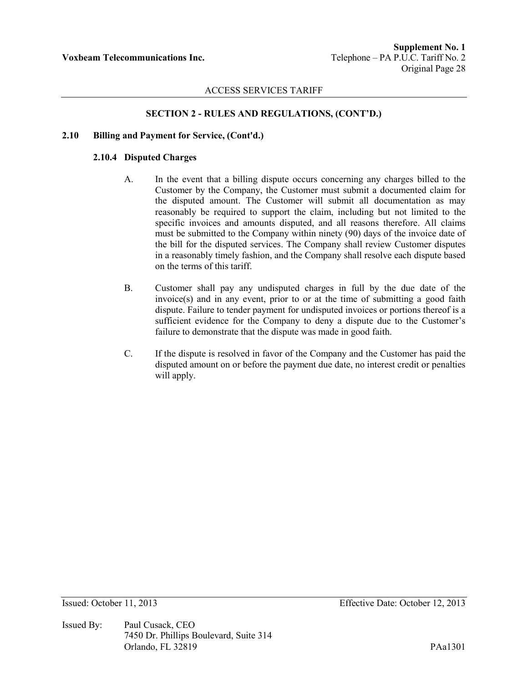# **SECTION 2 - RULES AND REGULATIONS, (CONT'D.)**

#### **2.10 Billing and Payment for Service, (Cont'd.)**

#### **2.10.4 Disputed Charges**

- A. In the event that a billing dispute occurs concerning any charges billed to the Customer by the Company, the Customer must submit a documented claim for the disputed amount. The Customer will submit all documentation as may reasonably be required to support the claim, including but not limited to the specific invoices and amounts disputed, and all reasons therefore. All claims must be submitted to the Company within ninety (90) days of the invoice date of the bill for the disputed services. The Company shall review Customer disputes in a reasonably timely fashion, and the Company shall resolve each dispute based on the terms of this tariff.
- B. Customer shall pay any undisputed charges in full by the due date of the invoice(s) and in any event, prior to or at the time of submitting a good faith dispute. Failure to tender payment for undisputed invoices or portions thereof is a sufficient evidence for the Company to deny a dispute due to the Customer's failure to demonstrate that the dispute was made in good faith.
- C. If the dispute is resolved in favor of the Company and the Customer has paid the disputed amount on or before the payment due date, no interest credit or penalties will apply.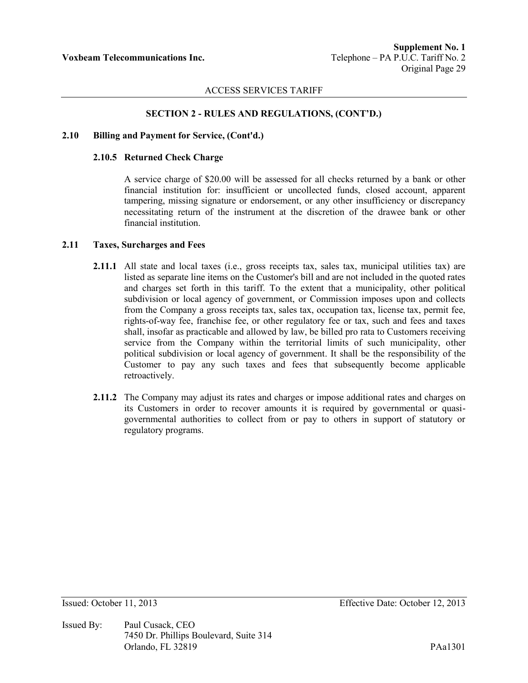## **SECTION 2 - RULES AND REGULATIONS, (CONT'D.)**

#### **2.10 Billing and Payment for Service, (Cont'd.)**

#### **2.10.5 Returned Check Charge**

A service charge of \$20.00 will be assessed for all checks returned by a bank or other financial institution for: insufficient or uncollected funds, closed account, apparent tampering, missing signature or endorsement, or any other insufficiency or discrepancy necessitating return of the instrument at the discretion of the drawee bank or other financial institution.

#### **2.11 Taxes, Surcharges and Fees**

- **2.11.1** All state and local taxes (i.e., gross receipts tax, sales tax, municipal utilities tax) are listed as separate line items on the Customer's bill and are not included in the quoted rates and charges set forth in this tariff. To the extent that a municipality, other political subdivision or local agency of government, or Commission imposes upon and collects from the Company a gross receipts tax, sales tax, occupation tax, license tax, permit fee, rights-of-way fee, franchise fee, or other regulatory fee or tax, such and fees and taxes shall, insofar as practicable and allowed by law, be billed pro rata to Customers receiving service from the Company within the territorial limits of such municipality, other political subdivision or local agency of government. It shall be the responsibility of the Customer to pay any such taxes and fees that subsequently become applicable retroactively.
- **2.11.2** The Company may adjust its rates and charges or impose additional rates and charges on its Customers in order to recover amounts it is required by governmental or quasigovernmental authorities to collect from or pay to others in support of statutory or regulatory programs.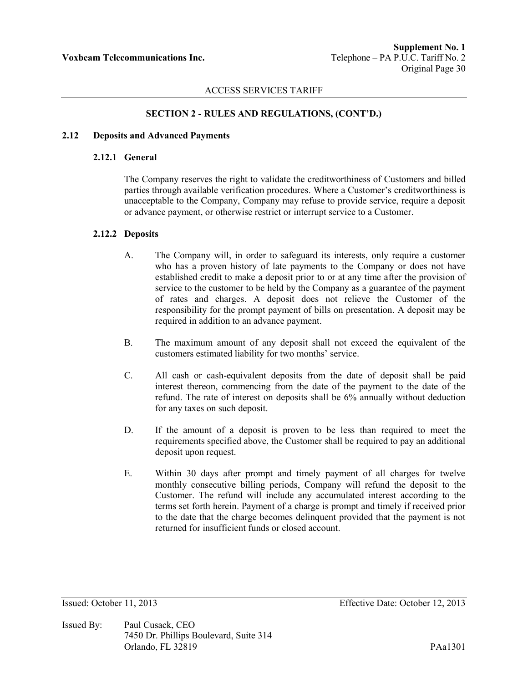## **SECTION 2 - RULES AND REGULATIONS, (CONT'D.)**

## **2.12 Deposits and Advanced Payments**

## **2.12.1 General**

The Company reserves the right to validate the creditworthiness of Customers and billed parties through available verification procedures. Where a Customer's creditworthiness is unacceptable to the Company, Company may refuse to provide service, require a deposit or advance payment, or otherwise restrict or interrupt service to a Customer.

# **2.12.2 Deposits**

- A. The Company will, in order to safeguard its interests, only require a customer who has a proven history of late payments to the Company or does not have established credit to make a deposit prior to or at any time after the provision of service to the customer to be held by the Company as a guarantee of the payment of rates and charges. A deposit does not relieve the Customer of the responsibility for the prompt payment of bills on presentation. A deposit may be required in addition to an advance payment.
- B. The maximum amount of any deposit shall not exceed the equivalent of the customers estimated liability for two months' service.
- C. All cash or cash-equivalent deposits from the date of deposit shall be paid interest thereon, commencing from the date of the payment to the date of the refund. The rate of interest on deposits shall be 6% annually without deduction for any taxes on such deposit.
- D. If the amount of a deposit is proven to be less than required to meet the requirements specified above, the Customer shall be required to pay an additional deposit upon request.
- E. Within 30 days after prompt and timely payment of all charges for twelve monthly consecutive billing periods, Company will refund the deposit to the Customer. The refund will include any accumulated interest according to the terms set forth herein. Payment of a charge is prompt and timely if received prior to the date that the charge becomes delinquent provided that the payment is not returned for insufficient funds or closed account.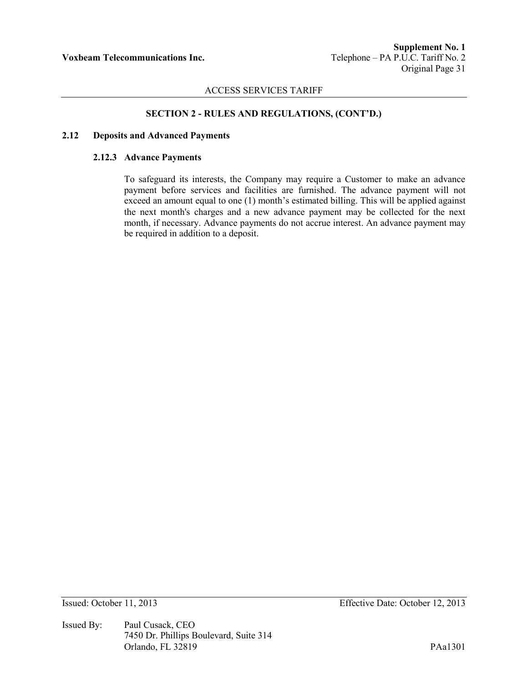# **SECTION 2 - RULES AND REGULATIONS, (CONT'D.)**

#### **2.12 Deposits and Advanced Payments**

#### **2.12.3 Advance Payments**

To safeguard its interests, the Company may require a Customer to make an advance payment before services and facilities are furnished. The advance payment will not exceed an amount equal to one (1) month's estimated billing. This will be applied against the next month's charges and a new advance payment may be collected for the next month, if necessary. Advance payments do not accrue interest. An advance payment may be required in addition to a deposit.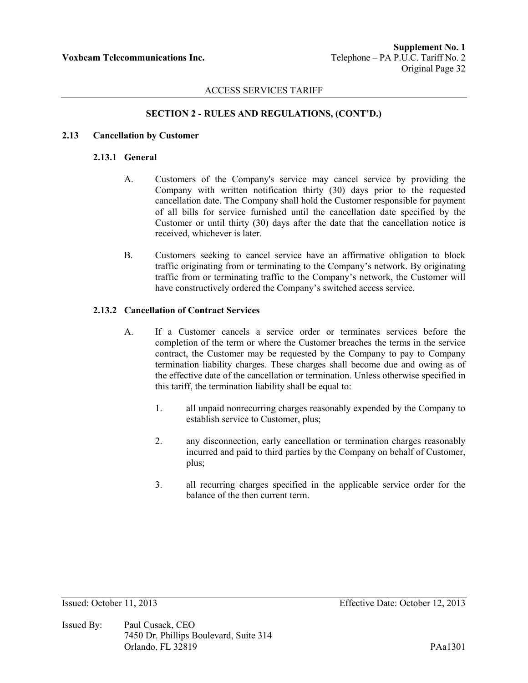# **SECTION 2 - RULES AND REGULATIONS, (CONT'D.)**

#### **2.13 Cancellation by Customer**

#### **2.13.1 General**

- A. Customers of the Company's service may cancel service by providing the Company with written notification thirty (30) days prior to the requested cancellation date. The Company shall hold the Customer responsible for payment of all bills for service furnished until the cancellation date specified by the Customer or until thirty (30) days after the date that the cancellation notice is received, whichever is later.
- B. Customers seeking to cancel service have an affirmative obligation to block traffic originating from or terminating to the Company's network. By originating traffic from or terminating traffic to the Company's network, the Customer will have constructively ordered the Company's switched access service.

## **2.13.2 Cancellation of Contract Services**

- A. If a Customer cancels a service order or terminates services before the completion of the term or where the Customer breaches the terms in the service contract, the Customer may be requested by the Company to pay to Company termination liability charges. These charges shall become due and owing as of the effective date of the cancellation or termination. Unless otherwise specified in this tariff, the termination liability shall be equal to:
	- 1. all unpaid nonrecurring charges reasonably expended by the Company to establish service to Customer, plus;
	- 2. any disconnection, early cancellation or termination charges reasonably incurred and paid to third parties by the Company on behalf of Customer, plus;
	- 3. all recurring charges specified in the applicable service order for the balance of the then current term.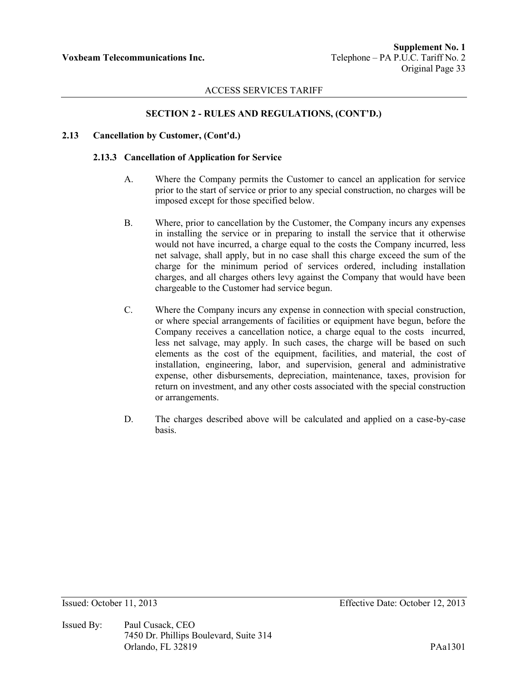# **SECTION 2 - RULES AND REGULATIONS, (CONT'D.)**

#### **2.13 Cancellation by Customer, (Cont'd.)**

#### **2.13.3 Cancellation of Application for Service**

- A. Where the Company permits the Customer to cancel an application for service prior to the start of service or prior to any special construction, no charges will be imposed except for those specified below.
- B. Where, prior to cancellation by the Customer, the Company incurs any expenses in installing the service or in preparing to install the service that it otherwise would not have incurred, a charge equal to the costs the Company incurred, less net salvage, shall apply, but in no case shall this charge exceed the sum of the charge for the minimum period of services ordered, including installation charges, and all charges others levy against the Company that would have been chargeable to the Customer had service begun.
- C. Where the Company incurs any expense in connection with special construction, or where special arrangements of facilities or equipment have begun, before the Company receives a cancellation notice, a charge equal to the costs incurred, less net salvage, may apply. In such cases, the charge will be based on such elements as the cost of the equipment, facilities, and material, the cost of installation, engineering, labor, and supervision, general and administrative expense, other disbursements, depreciation, maintenance, taxes, provision for return on investment, and any other costs associated with the special construction or arrangements.
- D. The charges described above will be calculated and applied on a case-by-case basis.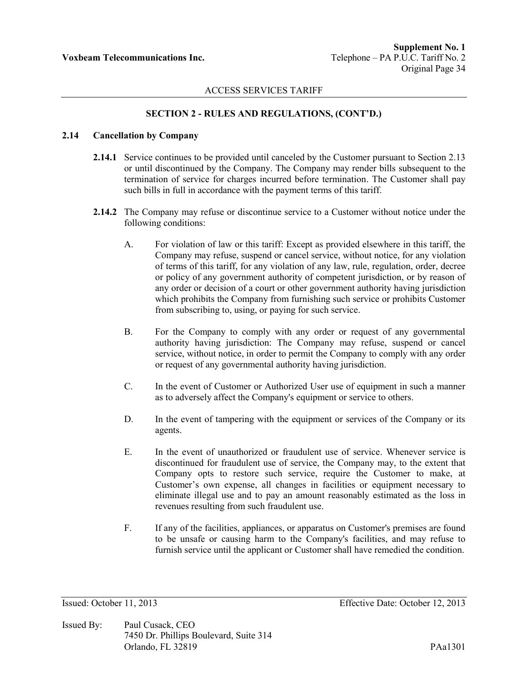# **SECTION 2 - RULES AND REGULATIONS, (CONT'D.)**

## **2.14 Cancellation by Company**

- **2.14.1** Service continues to be provided until canceled by the Customer pursuant to Section 2.13 or until discontinued by the Company. The Company may render bills subsequent to the termination of service for charges incurred before termination. The Customer shall pay such bills in full in accordance with the payment terms of this tariff.
- **2.14.2** The Company may refuse or discontinue service to a Customer without notice under the following conditions:
	- A. For violation of law or this tariff: Except as provided elsewhere in this tariff, the Company may refuse, suspend or cancel service, without notice, for any violation of terms of this tariff, for any violation of any law, rule, regulation, order, decree or policy of any government authority of competent jurisdiction, or by reason of any order or decision of a court or other government authority having jurisdiction which prohibits the Company from furnishing such service or prohibits Customer from subscribing to, using, or paying for such service.
	- B. For the Company to comply with any order or request of any governmental authority having jurisdiction: The Company may refuse, suspend or cancel service, without notice, in order to permit the Company to comply with any order or request of any governmental authority having jurisdiction.
	- C. In the event of Customer or Authorized User use of equipment in such a manner as to adversely affect the Company's equipment or service to others.
	- D. In the event of tampering with the equipment or services of the Company or its agents.
	- E. In the event of unauthorized or fraudulent use of service. Whenever service is discontinued for fraudulent use of service, the Company may, to the extent that Company opts to restore such service, require the Customer to make, at Customer's own expense, all changes in facilities or equipment necessary to eliminate illegal use and to pay an amount reasonably estimated as the loss in revenues resulting from such fraudulent use.
	- F. If any of the facilities, appliances, or apparatus on Customer's premises are found to be unsafe or causing harm to the Company's facilities, and may refuse to furnish service until the applicant or Customer shall have remedied the condition.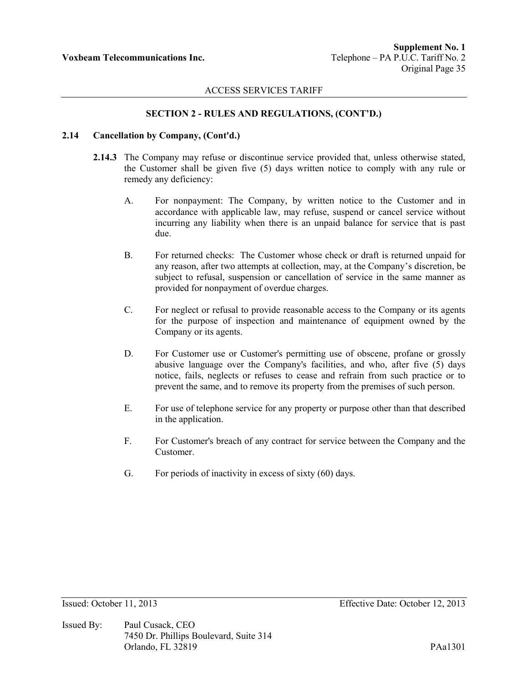### **SECTION 2 - RULES AND REGULATIONS, (CONT'D.)**

### **2.14 Cancellation by Company, (Cont'd.)**

- **2.14.3** The Company may refuse or discontinue service provided that, unless otherwise stated, the Customer shall be given five (5) days written notice to comply with any rule or remedy any deficiency:
	- A. For nonpayment: The Company, by written notice to the Customer and in accordance with applicable law, may refuse, suspend or cancel service without incurring any liability when there is an unpaid balance for service that is past due.
	- B. For returned checks: The Customer whose check or draft is returned unpaid for any reason, after two attempts at collection, may, at the Company's discretion, be subject to refusal, suspension or cancellation of service in the same manner as provided for nonpayment of overdue charges.
	- C. For neglect or refusal to provide reasonable access to the Company or its agents for the purpose of inspection and maintenance of equipment owned by the Company or its agents.
	- D. For Customer use or Customer's permitting use of obscene, profane or grossly abusive language over the Company's facilities, and who, after five (5) days notice, fails, neglects or refuses to cease and refrain from such practice or to prevent the same, and to remove its property from the premises of such person.
	- E. For use of telephone service for any property or purpose other than that described in the application.
	- F. For Customer's breach of any contract for service between the Company and the Customer.
	- G. For periods of inactivity in excess of sixty (60) days.

Issued By: Paul Cusack, CEO 7450 Dr. Phillips Boulevard, Suite 314 Orlando, FL 32819 PAa1301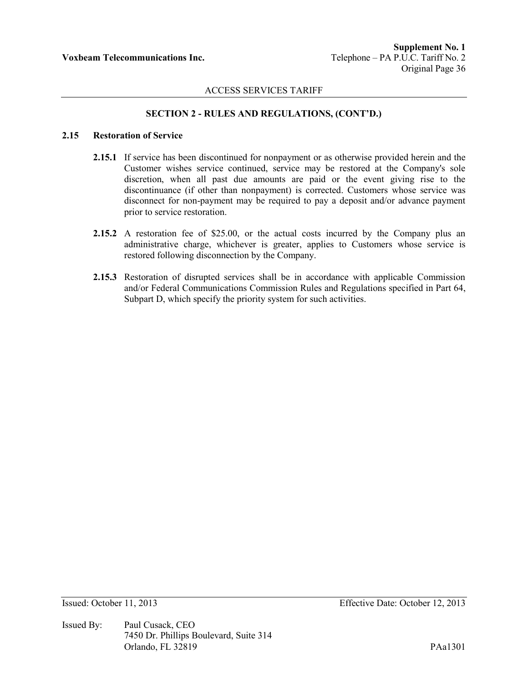## **SECTION 2 - RULES AND REGULATIONS, (CONT'D.)**

## **2.15 Restoration of Service**

- **2.15.1** If service has been discontinued for nonpayment or as otherwise provided herein and the Customer wishes service continued, service may be restored at the Company's sole discretion, when all past due amounts are paid or the event giving rise to the discontinuance (if other than nonpayment) is corrected. Customers whose service was disconnect for non-payment may be required to pay a deposit and/or advance payment prior to service restoration.
- **2.15.2** A restoration fee of \$25.00, or the actual costs incurred by the Company plus an administrative charge, whichever is greater, applies to Customers whose service is restored following disconnection by the Company.
- **2.15.3** Restoration of disrupted services shall be in accordance with applicable Commission and/or Federal Communications Commission Rules and Regulations specified in Part 64, Subpart D, which specify the priority system for such activities.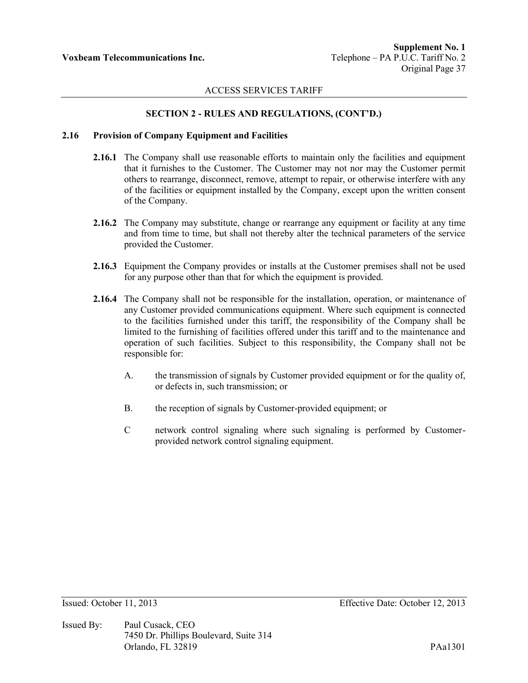## **SECTION 2 - RULES AND REGULATIONS, (CONT'D.)**

#### **2.16 Provision of Company Equipment and Facilities**

- **2.16.1** The Company shall use reasonable efforts to maintain only the facilities and equipment that it furnishes to the Customer. The Customer may not nor may the Customer permit others to rearrange, disconnect, remove, attempt to repair, or otherwise interfere with any of the facilities or equipment installed by the Company, except upon the written consent of the Company.
- **2.16.2** The Company may substitute, change or rearrange any equipment or facility at any time and from time to time, but shall not thereby alter the technical parameters of the service provided the Customer.
- **2.16.3** Equipment the Company provides or installs at the Customer premises shall not be used for any purpose other than that for which the equipment is provided.
- **2.16.4** The Company shall not be responsible for the installation, operation, or maintenance of any Customer provided communications equipment. Where such equipment is connected to the facilities furnished under this tariff, the responsibility of the Company shall be limited to the furnishing of facilities offered under this tariff and to the maintenance and operation of such facilities. Subject to this responsibility, the Company shall not be responsible for:
	- A. the transmission of signals by Customer provided equipment or for the quality of, or defects in, such transmission; or
	- B. the reception of signals by Customer-provided equipment; or
	- C network control signaling where such signaling is performed by Customerprovided network control signaling equipment.

Issued By: Paul Cusack, CEO 7450 Dr. Phillips Boulevard, Suite 314 Orlando, FL 32819 PAa1301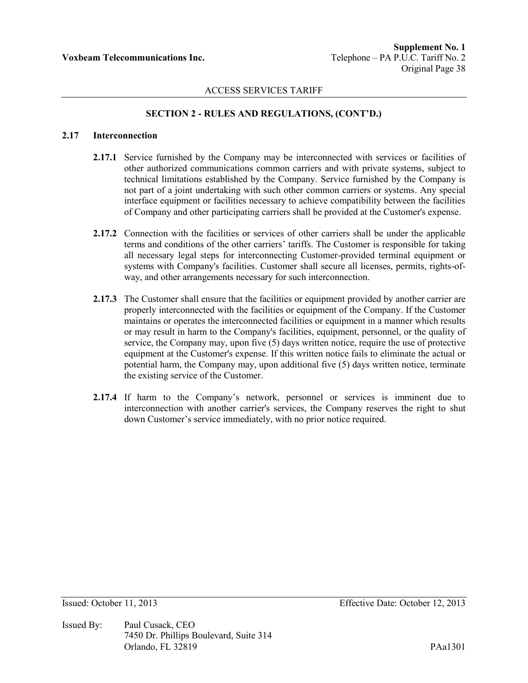# **SECTION 2 - RULES AND REGULATIONS, (CONT'D.)**

### **2.17 Interconnection**

- **2.17.1** Service furnished by the Company may be interconnected with services or facilities of other authorized communications common carriers and with private systems, subject to technical limitations established by the Company. Service furnished by the Company is not part of a joint undertaking with such other common carriers or systems. Any special interface equipment or facilities necessary to achieve compatibility between the facilities of Company and other participating carriers shall be provided at the Customer's expense.
- **2.17.2** Connection with the facilities or services of other carriers shall be under the applicable terms and conditions of the other carriers' tariffs. The Customer is responsible for taking all necessary legal steps for interconnecting Customer-provided terminal equipment or systems with Company's facilities. Customer shall secure all licenses, permits, rights-ofway, and other arrangements necessary for such interconnection.
- 2.17.3 The Customer shall ensure that the facilities or equipment provided by another carrier are properly interconnected with the facilities or equipment of the Company. If the Customer maintains or operates the interconnected facilities or equipment in a manner which results or may result in harm to the Company's facilities, equipment, personnel, or the quality of service, the Company may, upon five (5) days written notice, require the use of protective equipment at the Customer's expense. If this written notice fails to eliminate the actual or potential harm, the Company may, upon additional five (5) days written notice, terminate the existing service of the Customer.
- **2.17.4** If harm to the Company's network, personnel or services is imminent due to interconnection with another carrier's services, the Company reserves the right to shut down Customer's service immediately, with no prior notice required.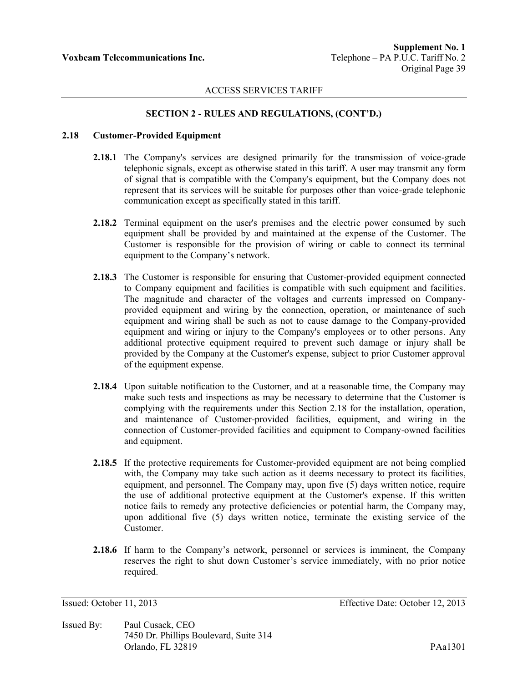# **SECTION 2 - RULES AND REGULATIONS, (CONT'D.)**

### **2.18 Customer-Provided Equipment**

- **2.18.1** The Company's services are designed primarily for the transmission of voice-grade telephonic signals, except as otherwise stated in this tariff. A user may transmit any form of signal that is compatible with the Company's equipment, but the Company does not represent that its services will be suitable for purposes other than voice-grade telephonic communication except as specifically stated in this tariff.
- **2.18.2** Terminal equipment on the user's premises and the electric power consumed by such equipment shall be provided by and maintained at the expense of the Customer. The Customer is responsible for the provision of wiring or cable to connect its terminal equipment to the Company's network.
- **2.18.3** The Customer is responsible for ensuring that Customer-provided equipment connected to Company equipment and facilities is compatible with such equipment and facilities. The magnitude and character of the voltages and currents impressed on Companyprovided equipment and wiring by the connection, operation, or maintenance of such equipment and wiring shall be such as not to cause damage to the Company-provided equipment and wiring or injury to the Company's employees or to other persons. Any additional protective equipment required to prevent such damage or injury shall be provided by the Company at the Customer's expense, subject to prior Customer approval of the equipment expense.
- **2.18.4** Upon suitable notification to the Customer, and at a reasonable time, the Company may make such tests and inspections as may be necessary to determine that the Customer is complying with the requirements under this Section 2.18 for the installation, operation, and maintenance of Customer-provided facilities, equipment, and wiring in the connection of Customer-provided facilities and equipment to Company-owned facilities and equipment.
- **2.18.5** If the protective requirements for Customer-provided equipment are not being complied with, the Company may take such action as it deems necessary to protect its facilities, equipment, and personnel. The Company may, upon five (5) days written notice, require the use of additional protective equipment at the Customer's expense. If this written notice fails to remedy any protective deficiencies or potential harm, the Company may, upon additional five (5) days written notice, terminate the existing service of the Customer.
- **2.18.6** If harm to the Company's network, personnel or services is imminent, the Company reserves the right to shut down Customer's service immediately, with no prior notice required.

Issued By: Paul Cusack, CEO 7450 Dr. Phillips Boulevard, Suite 314 Orlando, FL 32819 PAa1301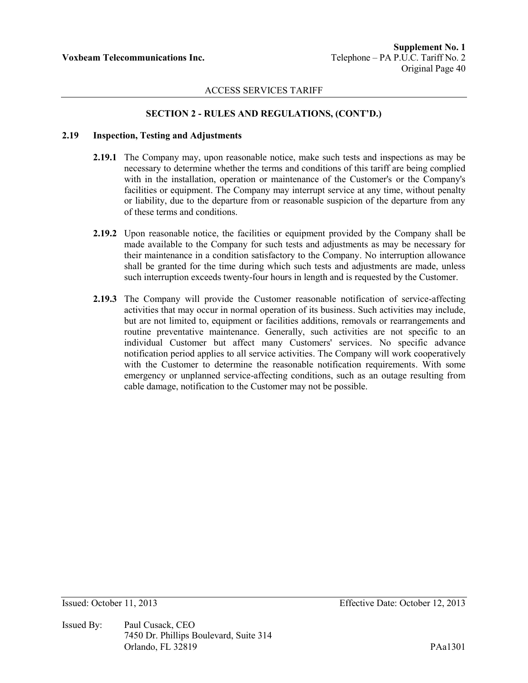## **SECTION 2 - RULES AND REGULATIONS, (CONT'D.)**

### **2.19 Inspection, Testing and Adjustments**

- **2.19.1** The Company may, upon reasonable notice, make such tests and inspections as may be necessary to determine whether the terms and conditions of this tariff are being complied with in the installation, operation or maintenance of the Customer's or the Company's facilities or equipment. The Company may interrupt service at any time, without penalty or liability, due to the departure from or reasonable suspicion of the departure from any of these terms and conditions.
- **2.19.2** Upon reasonable notice, the facilities or equipment provided by the Company shall be made available to the Company for such tests and adjustments as may be necessary for their maintenance in a condition satisfactory to the Company. No interruption allowance shall be granted for the time during which such tests and adjustments are made, unless such interruption exceeds twenty-four hours in length and is requested by the Customer.
- **2.19.3** The Company will provide the Customer reasonable notification of service-affecting activities that may occur in normal operation of its business. Such activities may include, but are not limited to, equipment or facilities additions, removals or rearrangements and routine preventative maintenance. Generally, such activities are not specific to an individual Customer but affect many Customers' services. No specific advance notification period applies to all service activities. The Company will work cooperatively with the Customer to determine the reasonable notification requirements. With some emergency or unplanned service-affecting conditions, such as an outage resulting from cable damage, notification to the Customer may not be possible.

Issued By: Paul Cusack, CEO 7450 Dr. Phillips Boulevard, Suite 314 Orlando, FL 32819 PAa1301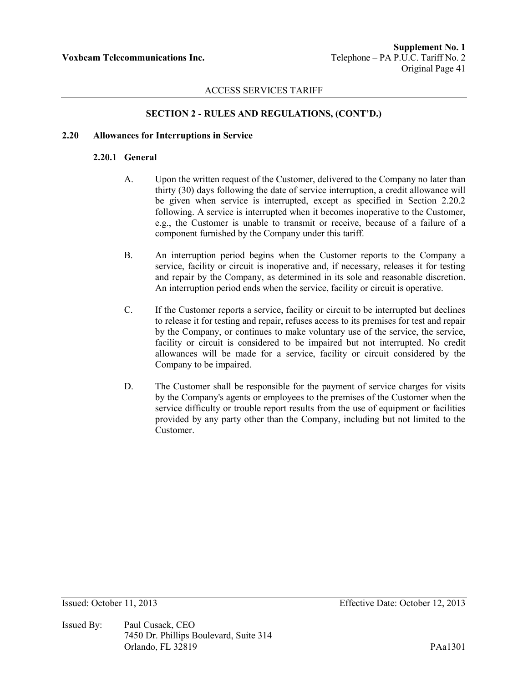# **SECTION 2 - RULES AND REGULATIONS, (CONT'D.)**

### **2.20 Allowances for Interruptions in Service**

### **2.20.1 General**

- A. Upon the written request of the Customer, delivered to the Company no later than thirty (30) days following the date of service interruption, a credit allowance will be given when service is interrupted, except as specified in Section 2.20.2 following. A service is interrupted when it becomes inoperative to the Customer, e.g., the Customer is unable to transmit or receive, because of a failure of a component furnished by the Company under this tariff.
- B. An interruption period begins when the Customer reports to the Company a service, facility or circuit is inoperative and, if necessary, releases it for testing and repair by the Company, as determined in its sole and reasonable discretion. An interruption period ends when the service, facility or circuit is operative.
- C. If the Customer reports a service, facility or circuit to be interrupted but declines to release it for testing and repair, refuses access to its premises for test and repair by the Company, or continues to make voluntary use of the service, the service, facility or circuit is considered to be impaired but not interrupted. No credit allowances will be made for a service, facility or circuit considered by the Company to be impaired.
- D. The Customer shall be responsible for the payment of service charges for visits by the Company's agents or employees to the premises of the Customer when the service difficulty or trouble report results from the use of equipment or facilities provided by any party other than the Company, including but not limited to the Customer.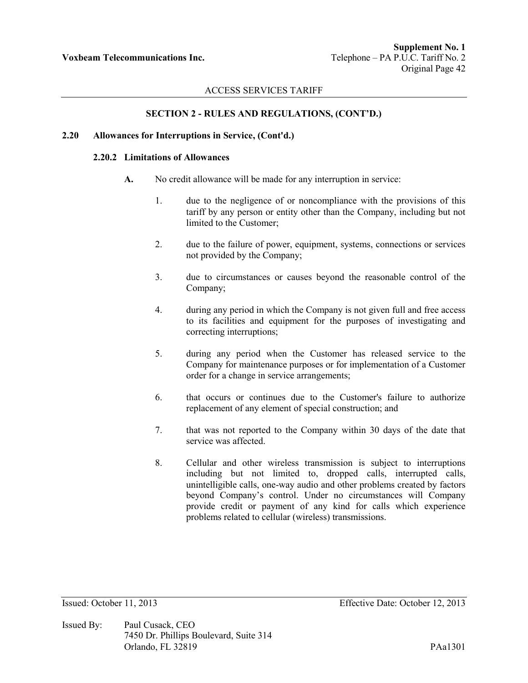## **SECTION 2 - RULES AND REGULATIONS, (CONT'D.)**

### **2.20 Allowances for Interruptions in Service, (Cont'd.)**

### **2.20.2 Limitations of Allowances**

- **A.** No credit allowance will be made for any interruption in service:
	- 1. due to the negligence of or noncompliance with the provisions of this tariff by any person or entity other than the Company, including but not limited to the Customer;
	- 2. due to the failure of power, equipment, systems, connections or services not provided by the Company;
	- 3. due to circumstances or causes beyond the reasonable control of the Company;
	- 4. during any period in which the Company is not given full and free access to its facilities and equipment for the purposes of investigating and correcting interruptions;
	- 5. during any period when the Customer has released service to the Company for maintenance purposes or for implementation of a Customer order for a change in service arrangements;
	- 6. that occurs or continues due to the Customer's failure to authorize replacement of any element of special construction; and
	- 7. that was not reported to the Company within 30 days of the date that service was affected.
	- 8. Cellular and other wireless transmission is subject to interruptions including but not limited to, dropped calls, interrupted calls, unintelligible calls, one-way audio and other problems created by factors beyond Company's control. Under no circumstances will Company provide credit or payment of any kind for calls which experience problems related to cellular (wireless) transmissions.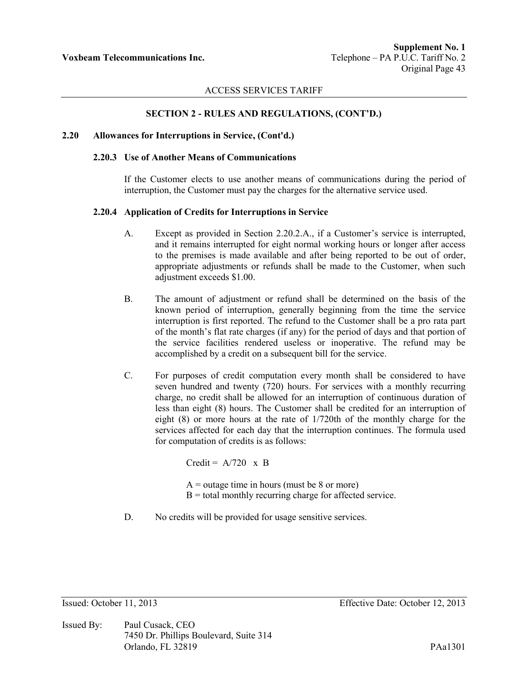### **SECTION 2 - RULES AND REGULATIONS, (CONT'D.)**

#### **2.20 Allowances for Interruptions in Service, (Cont'd.)**

#### **2.20.3 Use of Another Means of Communications**

If the Customer elects to use another means of communications during the period of interruption, the Customer must pay the charges for the alternative service used.

#### **2.20.4 Application of Credits for Interruptions in Service**

- A. Except as provided in Section 2.20.2.A., if a Customer's service is interrupted, and it remains interrupted for eight normal working hours or longer after access to the premises is made available and after being reported to be out of order, appropriate adjustments or refunds shall be made to the Customer, when such adjustment exceeds \$1.00.
- B. The amount of adjustment or refund shall be determined on the basis of the known period of interruption, generally beginning from the time the service interruption is first reported. The refund to the Customer shall be a pro rata part of the month's flat rate charges (if any) for the period of days and that portion of the service facilities rendered useless or inoperative. The refund may be accomplished by a credit on a subsequent bill for the service.
- C. For purposes of credit computation every month shall be considered to have seven hundred and twenty (720) hours. For services with a monthly recurring charge, no credit shall be allowed for an interruption of continuous duration of less than eight (8) hours. The Customer shall be credited for an interruption of eight (8) or more hours at the rate of 1/720th of the monthly charge for the services affected for each day that the interruption continues. The formula used for computation of credits is as follows:

Credit =  $A/720 \times B$ 

 $A =$  outage time in hours (must be 8 or more)  $B =$  total monthly recurring charge for affected service.

D. No credits will be provided for usage sensitive services.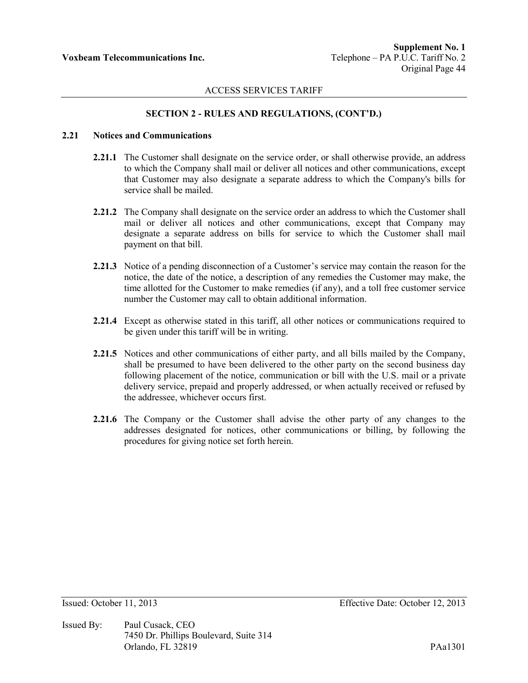# **SECTION 2 - RULES AND REGULATIONS, (CONT'D.)**

### **2.21 Notices and Communications**

- **2.21.1** The Customer shall designate on the service order, or shall otherwise provide, an address to which the Company shall mail or deliver all notices and other communications, except that Customer may also designate a separate address to which the Company's bills for service shall be mailed.
- **2.21.2** The Company shall designate on the service order an address to which the Customer shall mail or deliver all notices and other communications, except that Company may designate a separate address on bills for service to which the Customer shall mail payment on that bill.
- **2.21.3** Notice of a pending disconnection of a Customer's service may contain the reason for the notice, the date of the notice, a description of any remedies the Customer may make, the time allotted for the Customer to make remedies (if any), and a toll free customer service number the Customer may call to obtain additional information.
- **2.21.4** Except as otherwise stated in this tariff, all other notices or communications required to be given under this tariff will be in writing.
- **2.21.5** Notices and other communications of either party, and all bills mailed by the Company, shall be presumed to have been delivered to the other party on the second business day following placement of the notice, communication or bill with the U.S. mail or a private delivery service, prepaid and properly addressed, or when actually received or refused by the addressee, whichever occurs first.
- **2.21.6** The Company or the Customer shall advise the other party of any changes to the addresses designated for notices, other communications or billing, by following the procedures for giving notice set forth herein.

Issued By: Paul Cusack, CEO 7450 Dr. Phillips Boulevard, Suite 314 Orlando, FL 32819 PAa1301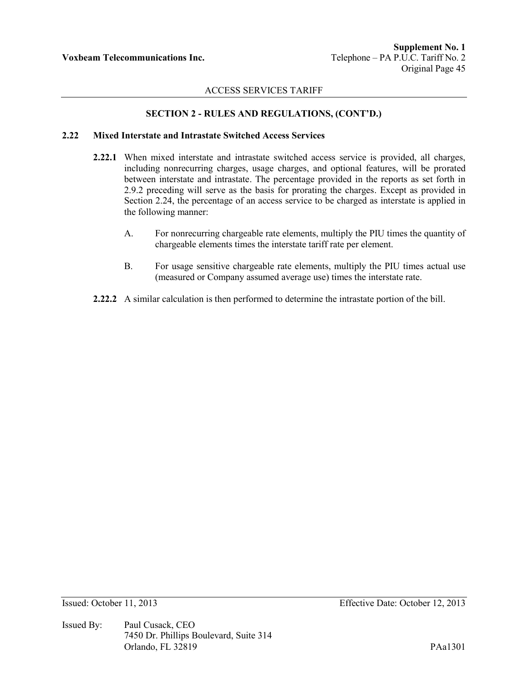# **SECTION 2 - RULES AND REGULATIONS, (CONT'D.)**

## **2.22 Mixed Interstate and Intrastate Switched Access Services**

- **2.22.1** When mixed interstate and intrastate switched access service is provided, all charges, including nonrecurring charges, usage charges, and optional features, will be prorated between interstate and intrastate. The percentage provided in the reports as set forth in 2.9.2 preceding will serve as the basis for prorating the charges. Except as provided in Section 2.24, the percentage of an access service to be charged as interstate is applied in the following manner:
	- A. For nonrecurring chargeable rate elements, multiply the PIU times the quantity of chargeable elements times the interstate tariff rate per element.
	- B. For usage sensitive chargeable rate elements, multiply the PIU times actual use (measured or Company assumed average use) times the interstate rate.
- **2.22.2** A similar calculation is then performed to determine the intrastate portion of the bill.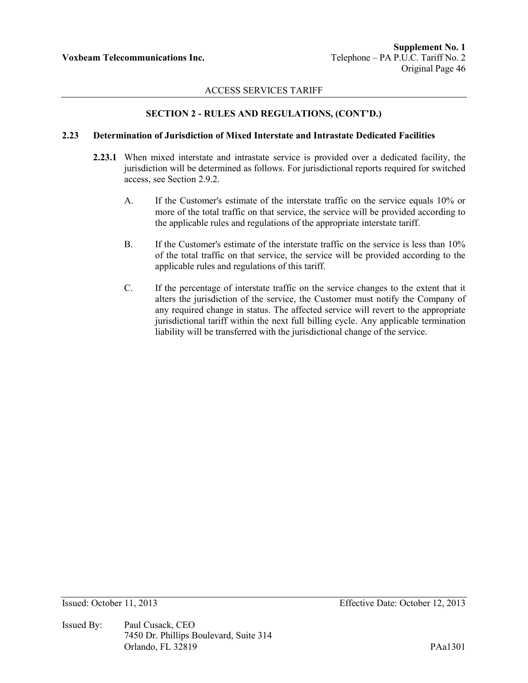# **SECTION 2 - RULES AND REGULATIONS, (CONT'D.)**

### **2.23 Determination of Jurisdiction of Mixed Interstate and Intrastate Dedicated Facilities**

- **2.23.1** When mixed interstate and intrastate service is provided over a dedicated facility, the jurisdiction will be determined as follows. For jurisdictional reports required for switched access, see Section 2.9.2.
	- A. If the Customer's estimate of the interstate traffic on the service equals 10% or more of the total traffic on that service, the service will be provided according to the applicable rules and regulations of the appropriate interstate tariff.
	- B. If the Customer's estimate of the interstate traffic on the service is less than 10% of the total traffic on that service, the service will be provided according to the applicable rules and regulations of this tariff.
	- C. If the percentage of interstate traffic on the service changes to the extent that it alters the jurisdiction of the service, the Customer must notify the Company of any required change in status. The affected service will revert to the appropriate jurisdictional tariff within the next full billing cycle. Any applicable termination liability will be transferred with the jurisdictional change of the service.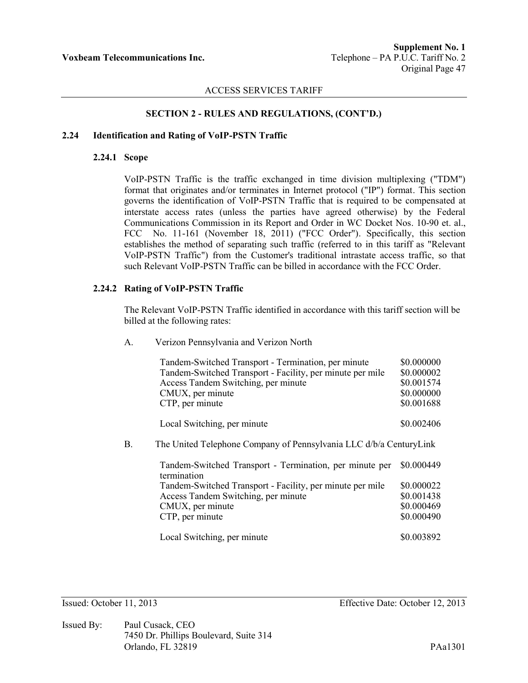### **SECTION 2 - RULES AND REGULATIONS, (CONT'D.)**

# **2.24 Identification and Rating of VoIP-PSTN Traffic**

#### **2.24.1 Scope**

VoIP-PSTN Traffic is the traffic exchanged in time division multiplexing ("TDM") format that originates and/or terminates in Internet protocol ("IP") format. This section governs the identification of VoIP-PSTN Traffic that is required to be compensated at interstate access rates (unless the parties have agreed otherwise) by the Federal Communications Commission in its Report and Order in WC Docket Nos. 10-90 et. al., FCC No. 11-161 (November 18, 2011) ("FCC Order"). Specifically, this section establishes the method of separating such traffic (referred to in this tariff as "Relevant VoIP-PSTN Traffic") from the Customer's traditional intrastate access traffic, so that such Relevant VoIP-PSTN Traffic can be billed in accordance with the FCC Order.

#### **2.24.2 Rating of VoIP-PSTN Traffic**

The Relevant VoIP-PSTN Traffic identified in accordance with this tariff section will be billed at the following rates:

A. Verizon Pennsylvania and Verizon North

|    | Tandem-Switched Transport - Termination, per minute<br>Tandem-Switched Transport - Facility, per minute per mile<br>Access Tandem Switching, per minute<br>CMUX, per minute<br>CTP, per minute | \$0.000000<br>\$0.000002<br>\$0.001574<br>\$0.000000<br>\$0.001688 |
|----|------------------------------------------------------------------------------------------------------------------------------------------------------------------------------------------------|--------------------------------------------------------------------|
|    | Local Switching, per minute                                                                                                                                                                    | \$0.002406                                                         |
| B. | The United Telephone Company of Pennsylvania LLC d/b/a CenturyLink                                                                                                                             |                                                                    |
|    | Tandem-Switched Transport - Termination, per minute per<br>termination                                                                                                                         | \$0.000449                                                         |
|    | Tandem-Switched Transport - Facility, per minute per mile                                                                                                                                      | \$0.000022                                                         |
|    | Access Tandem Switching, per minute                                                                                                                                                            | \$0.001438                                                         |
|    | CMUX, per minute                                                                                                                                                                               | \$0.000469                                                         |
|    | CTP, per minute                                                                                                                                                                                | \$0.000490                                                         |
|    | Local Switching, per minute                                                                                                                                                                    | \$0.003892                                                         |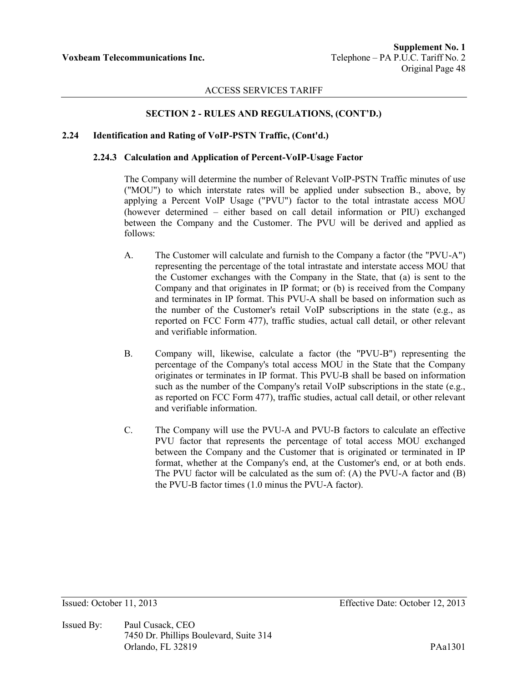## **SECTION 2 - RULES AND REGULATIONS, (CONT'D.)**

## **2.24 Identification and Rating of VoIP-PSTN Traffic, (Cont'd.)**

#### **2.24.3 Calculation and Application of Percent-VoIP-Usage Factor**

The Company will determine the number of Relevant VoIP-PSTN Traffic minutes of use ("MOU") to which interstate rates will be applied under subsection B., above, by applying a Percent VoIP Usage ("PVU") factor to the total intrastate access MOU (however determined – either based on call detail information or PIU) exchanged between the Company and the Customer. The PVU will be derived and applied as follows:

- A. The Customer will calculate and furnish to the Company a factor (the "PVU-A") representing the percentage of the total intrastate and interstate access MOU that the Customer exchanges with the Company in the State, that (a) is sent to the Company and that originates in IP format; or (b) is received from the Company and terminates in IP format. This PVU-A shall be based on information such as the number of the Customer's retail VoIP subscriptions in the state (e.g., as reported on FCC Form 477), traffic studies, actual call detail, or other relevant and verifiable information.
- B. Company will, likewise, calculate a factor (the "PVU-B") representing the percentage of the Company's total access MOU in the State that the Company originates or terminates in IP format. This PVU-B shall be based on information such as the number of the Company's retail VoIP subscriptions in the state (e.g., as reported on FCC Form 477), traffic studies, actual call detail, or other relevant and verifiable information.
- C. The Company will use the PVU-A and PVU-B factors to calculate an effective PVU factor that represents the percentage of total access MOU exchanged between the Company and the Customer that is originated or terminated in IP format, whether at the Company's end, at the Customer's end, or at both ends. The PVU factor will be calculated as the sum of: (A) the PVU-A factor and (B) the PVU-B factor times (1.0 minus the PVU-A factor).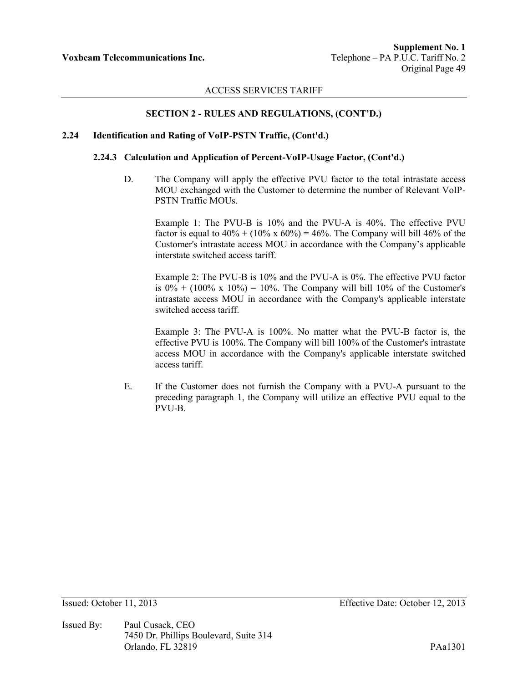## **SECTION 2 - RULES AND REGULATIONS, (CONT'D.)**

### **2.24 Identification and Rating of VoIP-PSTN Traffic, (Cont'd.)**

### **2.24.3 Calculation and Application of Percent-VoIP-Usage Factor, (Cont'd.)**

D. The Company will apply the effective PVU factor to the total intrastate access MOU exchanged with the Customer to determine the number of Relevant VoIP-PSTN Traffic MOUs.

Example 1: The PVU-B is 10% and the PVU-A is 40%. The effective PVU factor is equal to  $40\% + (10\% \times 60\%) = 46\%$ . The Company will bill 46% of the Customer's intrastate access MOU in accordance with the Company's applicable interstate switched access tariff.

Example 2: The PVU-B is 10% and the PVU-A is 0%. The effective PVU factor is  $0\% + (100\% \times 10\%) = 10\%$ . The Company will bill 10% of the Customer's intrastate access MOU in accordance with the Company's applicable interstate switched access tariff.

Example 3: The PVU-A is 100%. No matter what the PVU-B factor is, the effective PVU is 100%. The Company will bill 100% of the Customer's intrastate access MOU in accordance with the Company's applicable interstate switched access tariff.

E. If the Customer does not furnish the Company with a PVU-A pursuant to the preceding paragraph 1, the Company will utilize an effective PVU equal to the PVU-B.

Issued By: Paul Cusack, CEO 7450 Dr. Phillips Boulevard, Suite 314 Orlando, FL 32819 PAa1301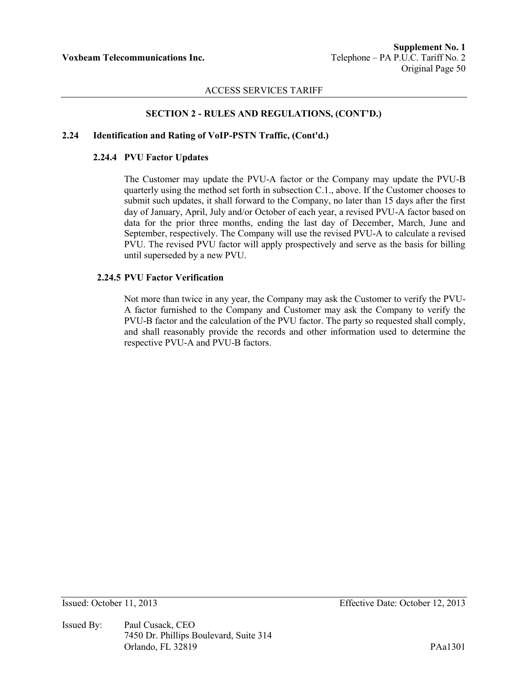## **SECTION 2 - RULES AND REGULATIONS, (CONT'D.)**

## **2.24 Identification and Rating of VoIP-PSTN Traffic, (Cont'd.)**

#### **2.24.4 PVU Factor Updates**

The Customer may update the PVU-A factor or the Company may update the PVU-B quarterly using the method set forth in subsection C.1., above. If the Customer chooses to submit such updates, it shall forward to the Company, no later than 15 days after the first day of January, April, July and/or October of each year, a revised PVU-A factor based on data for the prior three months, ending the last day of December, March, June and September, respectively. The Company will use the revised PVU-A to calculate a revised PVU. The revised PVU factor will apply prospectively and serve as the basis for billing until superseded by a new PVU.

### **2.24.5 PVU Factor Verification**

Not more than twice in any year, the Company may ask the Customer to verify the PVU-A factor furnished to the Company and Customer may ask the Company to verify the PVU-B factor and the calculation of the PVU factor. The party so requested shall comply, and shall reasonably provide the records and other information used to determine the respective PVU-A and PVU-B factors.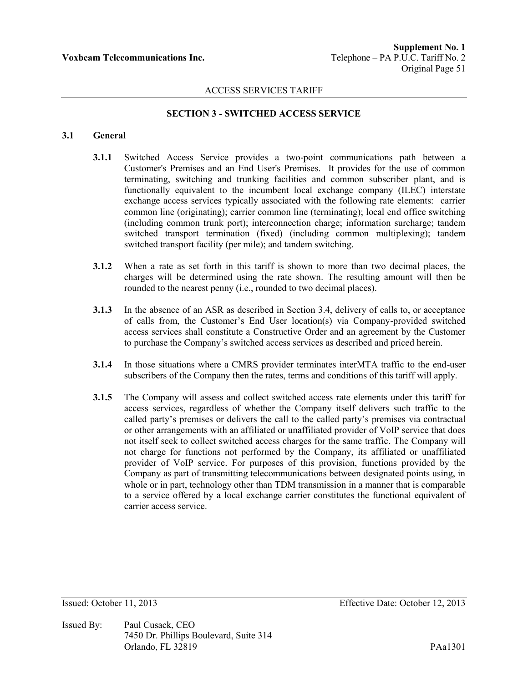## **SECTION 3 - SWITCHED ACCESS SERVICE**

# **3.1 General**

- **3.1.1** Switched Access Service provides a two-point communications path between a Customer's Premises and an End User's Premises. It provides for the use of common terminating, switching and trunking facilities and common subscriber plant, and is functionally equivalent to the incumbent local exchange company (ILEC) interstate exchange access services typically associated with the following rate elements: carrier common line (originating); carrier common line (terminating); local end office switching (including common trunk port); interconnection charge; information surcharge; tandem switched transport termination (fixed) (including common multiplexing); tandem switched transport facility (per mile); and tandem switching.
- **3.1.2** When a rate as set forth in this tariff is shown to more than two decimal places, the charges will be determined using the rate shown. The resulting amount will then be rounded to the nearest penny (i.e., rounded to two decimal places).
- **3.1.3** In the absence of an ASR as described in Section 3.4, delivery of calls to, or acceptance of calls from, the Customer's End User location(s) via Company-provided switched access services shall constitute a Constructive Order and an agreement by the Customer to purchase the Company's switched access services as described and priced herein.
- **3.1.4** In those situations where a CMRS provider terminates interMTA traffic to the end-user subscribers of the Company then the rates, terms and conditions of this tariff will apply.
- **3.1.5** The Company will assess and collect switched access rate elements under this tariff for access services, regardless of whether the Company itself delivers such traffic to the called party's premises or delivers the call to the called party's premises via contractual or other arrangements with an affiliated or unaffiliated provider of VoIP service that does not itself seek to collect switched access charges for the same traffic. The Company will not charge for functions not performed by the Company, its affiliated or unaffiliated provider of VoIP service. For purposes of this provision, functions provided by the Company as part of transmitting telecommunications between designated points using, in whole or in part, technology other than TDM transmission in a manner that is comparable to a service offered by a local exchange carrier constitutes the functional equivalent of carrier access service.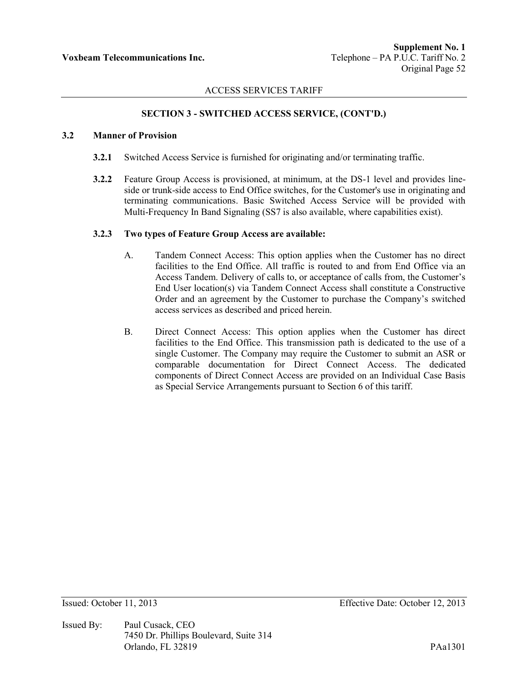## **SECTION 3 - SWITCHED ACCESS SERVICE, (CONT'D.)**

## **3.2 Manner of Provision**

- **3.2.1** Switched Access Service is furnished for originating and/or terminating traffic.
- **3.2.2** Feature Group Access is provisioned, at minimum, at the DS-1 level and provides lineside or trunk-side access to End Office switches, for the Customer's use in originating and terminating communications. Basic Switched Access Service will be provided with Multi-Frequency In Band Signaling (SS7 is also available, where capabilities exist).

#### **3.2.3 Two types of Feature Group Access are available:**

- A. Tandem Connect Access: This option applies when the Customer has no direct facilities to the End Office. All traffic is routed to and from End Office via an Access Tandem. Delivery of calls to, or acceptance of calls from, the Customer's End User location(s) via Tandem Connect Access shall constitute a Constructive Order and an agreement by the Customer to purchase the Company's switched access services as described and priced herein.
- B. Direct Connect Access: This option applies when the Customer has direct facilities to the End Office. This transmission path is dedicated to the use of a single Customer. The Company may require the Customer to submit an ASR or comparable documentation for Direct Connect Access. The dedicated components of Direct Connect Access are provided on an Individual Case Basis as Special Service Arrangements pursuant to Section 6 of this tariff.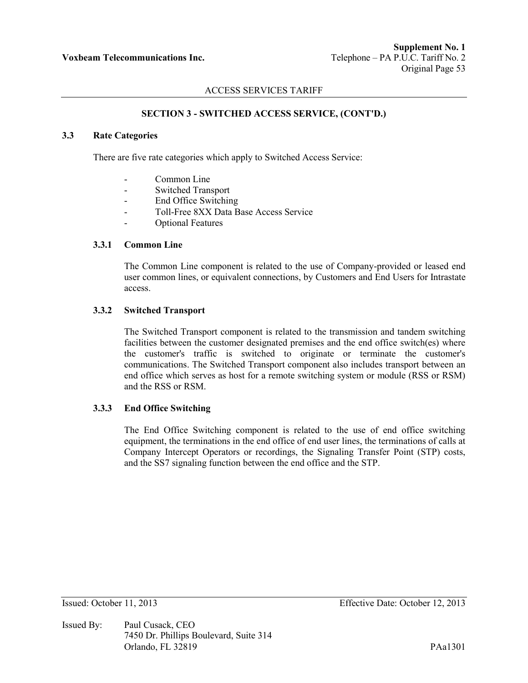# **SECTION 3 - SWITCHED ACCESS SERVICE, (CONT'D.)**

# **3.3 Rate Categories**

There are five rate categories which apply to Switched Access Service:

- Common Line
- Switched Transport
- End Office Switching
- Toll-Free 8XX Data Base Access Service
- Optional Features

## **3.3.1 Common Line**

The Common Line component is related to the use of Company-provided or leased end user common lines, or equivalent connections, by Customers and End Users for Intrastate access.

## **3.3.2 Switched Transport**

The Switched Transport component is related to the transmission and tandem switching facilities between the customer designated premises and the end office switch(es) where the customer's traffic is switched to originate or terminate the customer's communications. The Switched Transport component also includes transport between an end office which serves as host for a remote switching system or module (RSS or RSM) and the RSS or RSM.

## **3.3.3 End Office Switching**

The End Office Switching component is related to the use of end office switching equipment, the terminations in the end office of end user lines, the terminations of calls at Company Intercept Operators or recordings, the Signaling Transfer Point (STP) costs, and the SS7 signaling function between the end office and the STP.

Issued By: Paul Cusack, CEO 7450 Dr. Phillips Boulevard, Suite 314 Orlando, FL 32819 PAa1301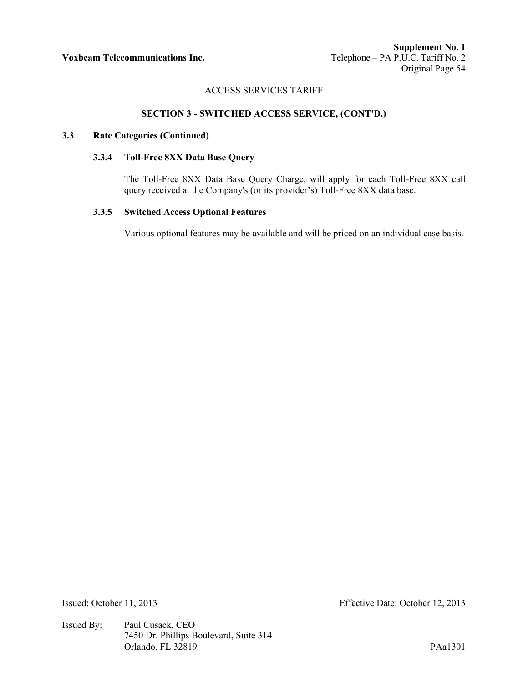# **SECTION 3 - SWITCHED ACCESS SERVICE, (CONT'D.)**

### **3.3 Rate Categories (Continued)**

### **3.3.4 Toll-Free 8XX Data Base Query**

The Toll-Free 8XX Data Base Query Charge, will apply for each Toll-Free 8XX call query received at the Company's (or its provider's) Toll-Free 8XX data base.

### **3.3.5 Switched Access Optional Features**

Various optional features may be available and will be priced on an individual case basis.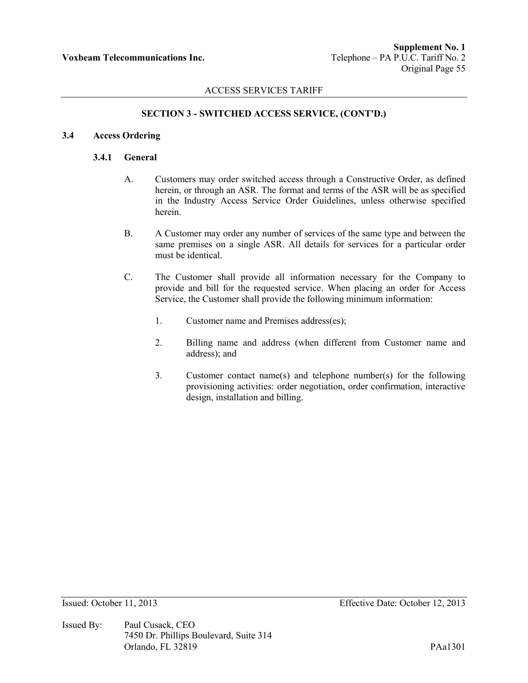## **SECTION 3 - SWITCHED ACCESS SERVICE, (CONT'D.)**

### **3.4 Access Ordering**

### **3.4.1 General**

- A. Customers may order switched access through a Constructive Order, as defined herein, or through an ASR. The format and terms of the ASR will be as specified in the Industry Access Service Order Guidelines, unless otherwise specified herein.
- B. A Customer may order any number of services of the same type and between the same premises on a single ASR. All details for services for a particular order must be identical.
- C. The Customer shall provide all information necessary for the Company to provide and bill for the requested service. When placing an order for Access Service, the Customer shall provide the following minimum information:
	- 1. Customer name and Premises address(es);
	- 2. Billing name and address (when different from Customer name and address); and
	- 3. Customer contact name(s) and telephone number(s) for the following provisioning activities: order negotiation, order confirmation, interactive design, installation and billing.

Issued By: Paul Cusack, CEO 7450 Dr. Phillips Boulevard, Suite 314 Orlando, FL 32819 PAa1301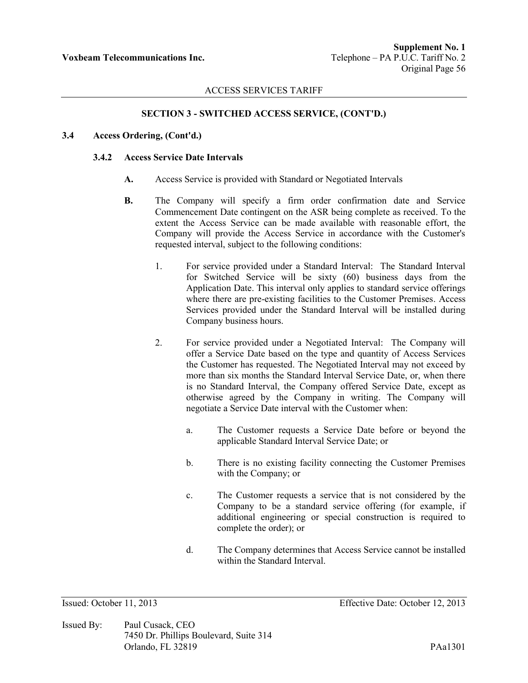# **SECTION 3 - SWITCHED ACCESS SERVICE, (CONT'D.)**

### **3.4 Access Ordering, (Cont'd.)**

### **3.4.2 Access Service Date Intervals**

- **A.** Access Service is provided with Standard or Negotiated Intervals
- **B.** The Company will specify a firm order confirmation date and Service Commencement Date contingent on the ASR being complete as received. To the extent the Access Service can be made available with reasonable effort, the Company will provide the Access Service in accordance with the Customer's requested interval, subject to the following conditions:
	- 1. For service provided under a Standard Interval: The Standard Interval for Switched Service will be sixty (60) business days from the Application Date. This interval only applies to standard service offerings where there are pre-existing facilities to the Customer Premises. Access Services provided under the Standard Interval will be installed during Company business hours.
	- 2. For service provided under a Negotiated Interval: The Company will offer a Service Date based on the type and quantity of Access Services the Customer has requested. The Negotiated Interval may not exceed by more than six months the Standard Interval Service Date, or, when there is no Standard Interval, the Company offered Service Date, except as otherwise agreed by the Company in writing. The Company will negotiate a Service Date interval with the Customer when:
		- a. The Customer requests a Service Date before or beyond the applicable Standard Interval Service Date; or
		- b. There is no existing facility connecting the Customer Premises with the Company; or
		- c. The Customer requests a service that is not considered by the Company to be a standard service offering (for example, if additional engineering or special construction is required to complete the order); or
		- d. The Company determines that Access Service cannot be installed within the Standard Interval.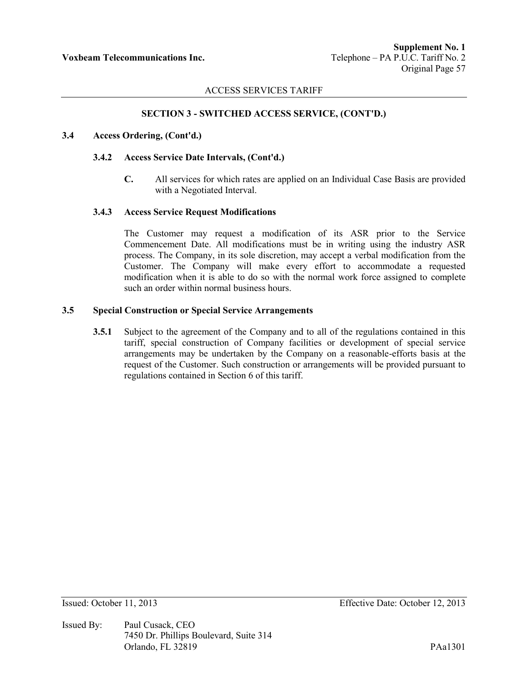## **SECTION 3 - SWITCHED ACCESS SERVICE, (CONT'D.)**

### **3.4 Access Ordering, (Cont'd.)**

#### **3.4.2 Access Service Date Intervals, (Cont'd.)**

**C.** All services for which rates are applied on an Individual Case Basis are provided with a Negotiated Interval.

#### **3.4.3 Access Service Request Modifications**

The Customer may request a modification of its ASR prior to the Service Commencement Date. All modifications must be in writing using the industry ASR process. The Company, in its sole discretion, may accept a verbal modification from the Customer. The Company will make every effort to accommodate a requested modification when it is able to do so with the normal work force assigned to complete such an order within normal business hours.

#### **3.5 Special Construction or Special Service Arrangements**

**3.5.1** Subject to the agreement of the Company and to all of the regulations contained in this tariff, special construction of Company facilities or development of special service arrangements may be undertaken by the Company on a reasonable-efforts basis at the request of the Customer. Such construction or arrangements will be provided pursuant to regulations contained in Section 6 of this tariff.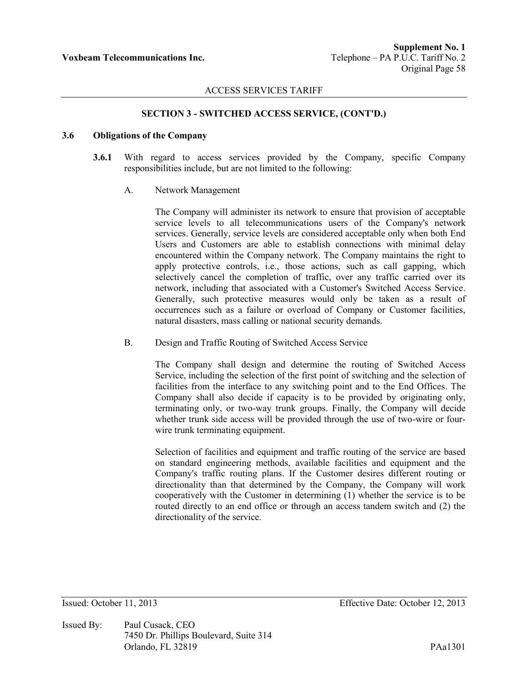### **SECTION 3 - SWITCHED ACCESS SERVICE, (CONT'D.)**

## **3.6 Obligations of the Company**

- **3.6.1** With regard to access services provided by the Company, specific Company responsibilities include, but are not limited to the following:
	- A. Network Management

The Company will administer its network to ensure that provision of acceptable service levels to all telecommunications users of the Company's network services. Generally, service levels are considered acceptable only when both End Users and Customers are able to establish connections with minimal delay encountered within the Company network. The Company maintains the right to apply protective controls, i.e., those actions, such as call gapping, which selectively cancel the completion of traffic, over any traffic carried over its network, including that associated with a Customer's Switched Access Service. Generally, such protective measures would only be taken as a result of occurrences such as a failure or overload of Company or Customer facilities, natural disasters, mass calling or national security demands.

### B. Design and Traffic Routing of Switched Access Service

The Company shall design and determine the routing of Switched Access Service, including the selection of the first point of switching and the selection of facilities from the interface to any switching point and to the End Offices. The Company shall also decide if capacity is to be provided by originating only, terminating only, or two-way trunk groups. Finally, the Company will decide whether trunk side access will be provided through the use of two-wire or fourwire trunk terminating equipment.

Selection of facilities and equipment and traffic routing of the service are based on standard engineering methods, available facilities and equipment and the Company's traffic routing plans. If the Customer desires different routing or directionality than that determined by the Company, the Company will work cooperatively with the Customer in determining (1) whether the service is to be routed directly to an end office or through an access tandem switch and (2) the directionality of the service.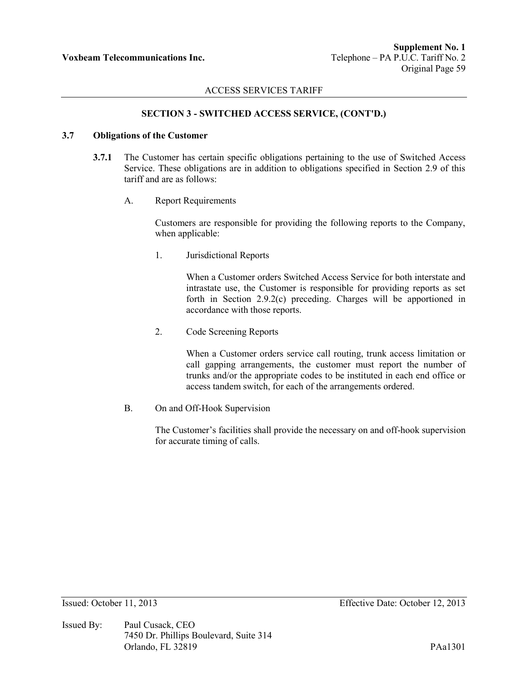## **SECTION 3 - SWITCHED ACCESS SERVICE, (CONT'D.)**

## **3.7 Obligations of the Customer**

- **3.7.1** The Customer has certain specific obligations pertaining to the use of Switched Access Service. These obligations are in addition to obligations specified in Section 2.9 of this tariff and are as follows:
	- A. Report Requirements

Customers are responsible for providing the following reports to the Company, when applicable:

1. Jurisdictional Reports

When a Customer orders Switched Access Service for both interstate and intrastate use, the Customer is responsible for providing reports as set forth in Section 2.9.2(c) preceding. Charges will be apportioned in accordance with those reports.

2. Code Screening Reports

When a Customer orders service call routing, trunk access limitation or call gapping arrangements, the customer must report the number of trunks and/or the appropriate codes to be instituted in each end office or access tandem switch, for each of the arrangements ordered.

B. On and Off-Hook Supervision

The Customer's facilities shall provide the necessary on and off-hook supervision for accurate timing of calls.

Issued By: Paul Cusack, CEO 7450 Dr. Phillips Boulevard, Suite 314 Orlando, FL 32819 PAa1301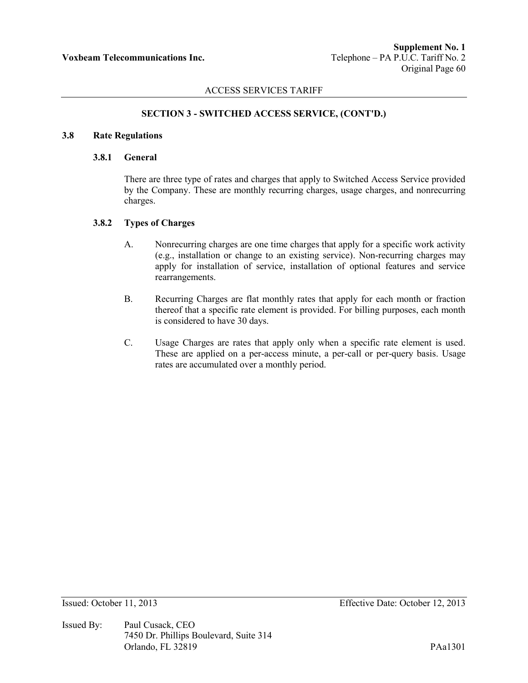# **SECTION 3 - SWITCHED ACCESS SERVICE, (CONT'D.)**

### **3.8 Rate Regulations**

#### **3.8.1 General**

There are three type of rates and charges that apply to Switched Access Service provided by the Company. These are monthly recurring charges, usage charges, and nonrecurring charges.

## **3.8.2 Types of Charges**

- A. Nonrecurring charges are one time charges that apply for a specific work activity (e.g., installation or change to an existing service). Non-recurring charges may apply for installation of service, installation of optional features and service rearrangements.
- B. Recurring Charges are flat monthly rates that apply for each month or fraction thereof that a specific rate element is provided. For billing purposes, each month is considered to have 30 days.
- C. Usage Charges are rates that apply only when a specific rate element is used. These are applied on a per-access minute, a per-call or per-query basis. Usage rates are accumulated over a monthly period.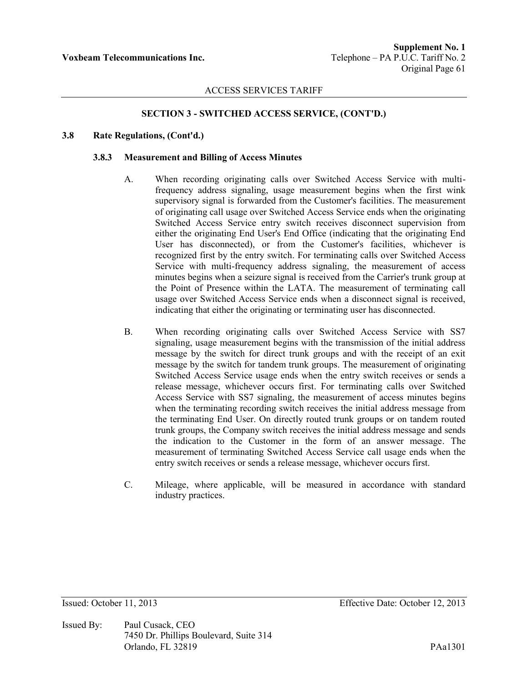## **SECTION 3 - SWITCHED ACCESS SERVICE, (CONT'D.)**

### **3.8 Rate Regulations, (Cont'd.)**

#### **3.8.3 Measurement and Billing of Access Minutes**

- A. When recording originating calls over Switched Access Service with multifrequency address signaling, usage measurement begins when the first wink supervisory signal is forwarded from the Customer's facilities. The measurement of originating call usage over Switched Access Service ends when the originating Switched Access Service entry switch receives disconnect supervision from either the originating End User's End Office (indicating that the originating End User has disconnected), or from the Customer's facilities, whichever is recognized first by the entry switch. For terminating calls over Switched Access Service with multi-frequency address signaling, the measurement of access minutes begins when a seizure signal is received from the Carrier's trunk group at the Point of Presence within the LATA. The measurement of terminating call usage over Switched Access Service ends when a disconnect signal is received, indicating that either the originating or terminating user has disconnected.
- B. When recording originating calls over Switched Access Service with SS7 signaling, usage measurement begins with the transmission of the initial address message by the switch for direct trunk groups and with the receipt of an exit message by the switch for tandem trunk groups. The measurement of originating Switched Access Service usage ends when the entry switch receives or sends a release message, whichever occurs first. For terminating calls over Switched Access Service with SS7 signaling, the measurement of access minutes begins when the terminating recording switch receives the initial address message from the terminating End User. On directly routed trunk groups or on tandem routed trunk groups, the Company switch receives the initial address message and sends the indication to the Customer in the form of an answer message. The measurement of terminating Switched Access Service call usage ends when the entry switch receives or sends a release message, whichever occurs first.
- C. Mileage, where applicable, will be measured in accordance with standard industry practices.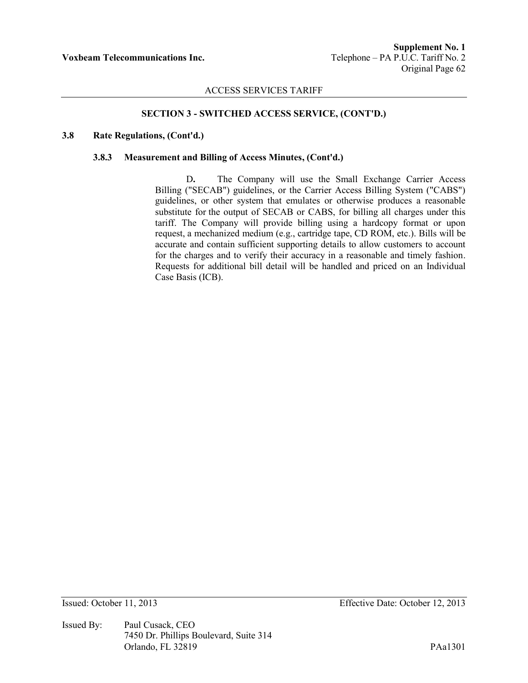## **SECTION 3 - SWITCHED ACCESS SERVICE, (CONT'D.)**

### **3.8 Rate Regulations, (Cont'd.)**

### **3.8.3 Measurement and Billing of Access Minutes, (Cont'd.)**

D**.** The Company will use the Small Exchange Carrier Access Billing ("SECAB") guidelines, or the Carrier Access Billing System ("CABS") guidelines, or other system that emulates or otherwise produces a reasonable substitute for the output of SECAB or CABS, for billing all charges under this tariff. The Company will provide billing using a hardcopy format or upon request, a mechanized medium (e.g., cartridge tape, CD ROM, etc.). Bills will be accurate and contain sufficient supporting details to allow customers to account for the charges and to verify their accuracy in a reasonable and timely fashion. Requests for additional bill detail will be handled and priced on an Individual Case Basis (ICB).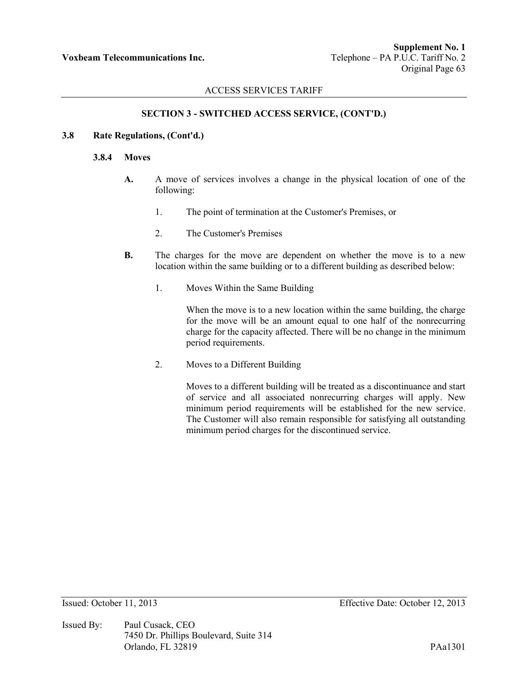## **SECTION 3 - SWITCHED ACCESS SERVICE, (CONT'D.)**

## **3.8 Rate Regulations, (Cont'd.)**

### **3.8.4 Moves**

- **A.** A move of services involves a change in the physical location of one of the following:
	- 1. The point of termination at the Customer's Premises, or
	- 2. The Customer's Premises
- **B.** The charges for the move are dependent on whether the move is to a new location within the same building or to a different building as described below:
	- 1. Moves Within the Same Building

When the move is to a new location within the same building, the charge for the move will be an amount equal to one half of the nonrecurring charge for the capacity affected. There will be no change in the minimum period requirements.

2. Moves to a Different Building

Moves to a different building will be treated as a discontinuance and start of service and all associated nonrecurring charges will apply. New minimum period requirements will be established for the new service. The Customer will also remain responsible for satisfying all outstanding minimum period charges for the discontinued service.

Issued By: Paul Cusack, CEO 7450 Dr. Phillips Boulevard, Suite 314 Orlando, FL 32819 PAa1301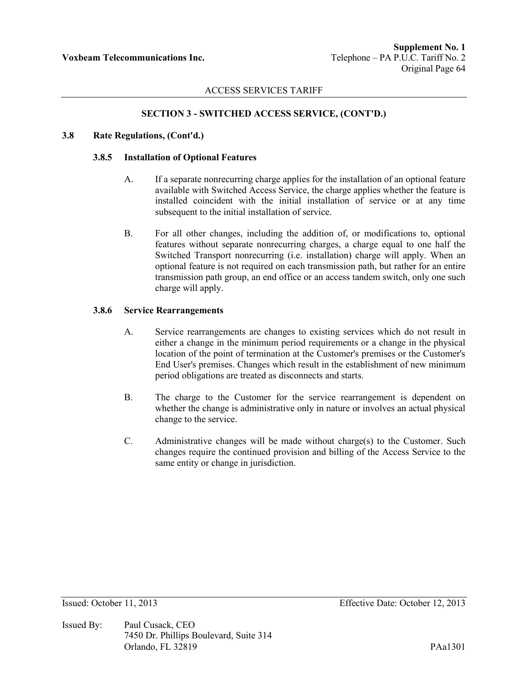# **SECTION 3 - SWITCHED ACCESS SERVICE, (CONT'D.)**

### **3.8 Rate Regulations, (Cont'd.)**

### **3.8.5 Installation of Optional Features**

- A. If a separate nonrecurring charge applies for the installation of an optional feature available with Switched Access Service, the charge applies whether the feature is installed coincident with the initial installation of service or at any time subsequent to the initial installation of service.
- B. For all other changes, including the addition of, or modifications to, optional features without separate nonrecurring charges, a charge equal to one half the Switched Transport nonrecurring (i.e. installation) charge will apply. When an optional feature is not required on each transmission path, but rather for an entire transmission path group, an end office or an access tandem switch, only one such charge will apply.

### **3.8.6 Service Rearrangements**

- A. Service rearrangements are changes to existing services which do not result in either a change in the minimum period requirements or a change in the physical location of the point of termination at the Customer's premises or the Customer's End User's premises. Changes which result in the establishment of new minimum period obligations are treated as disconnects and starts.
- B. The charge to the Customer for the service rearrangement is dependent on whether the change is administrative only in nature or involves an actual physical change to the service.
- C. Administrative changes will be made without charge(s) to the Customer. Such changes require the continued provision and billing of the Access Service to the same entity or change in jurisdiction.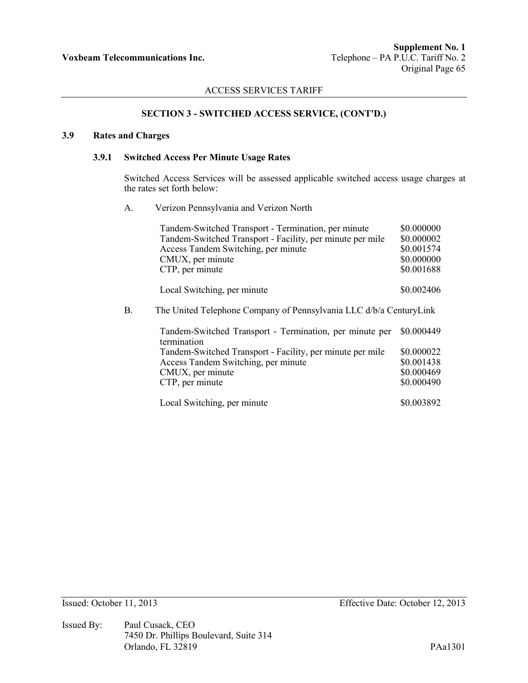## **SECTION 3 - SWITCHED ACCESS SERVICE, (CONT'D.)**

### **3.9 Rates and Charges**

### **3.9.1 Switched Access Per Minute Usage Rates**

Switched Access Services will be assessed applicable switched access usage charges at the rates set forth below:

A. Verizon Pennsylvania and Verizon North

|    | Tandem-Switched Transport - Termination, per minute                    | \$0.000000 |  |
|----|------------------------------------------------------------------------|------------|--|
|    | Tandem-Switched Transport - Facility, per minute per mile              | \$0.000002 |  |
|    | Access Tandem Switching, per minute                                    | \$0.001574 |  |
|    | CMUX, per minute                                                       | \$0.000000 |  |
|    | CTP, per minute                                                        | \$0.001688 |  |
|    | Local Switching, per minute                                            | \$0.002406 |  |
| В. | The United Telephone Company of Pennsylvania LLC d/b/a CenturyLink     |            |  |
|    | Tandem-Switched Transport - Termination, per minute per<br>termination | \$0.000449 |  |
|    | Tandem-Switched Transport - Facility, per minute per mile              | \$0.000022 |  |
|    | Access Tandem Switching, per minute                                    | \$0.001438 |  |
|    | CMUX, per minute                                                       | \$0.000469 |  |
|    | CTP, per minute                                                        | \$0.000490 |  |
|    | Local Switching, per minute                                            | \$0.003892 |  |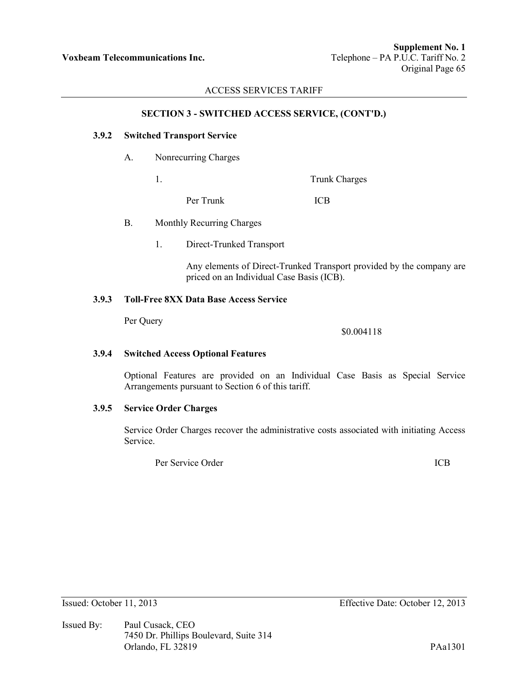### **SECTION 3 - SWITCHED ACCESS SERVICE, (CONT'D.)**

### **3.9.2 Switched Transport Service**

- A. Nonrecurring Charges
	-

1. Trunk Charges

Per Trunk ICB

- B. Monthly Recurring Charges
	- 1. Direct-Trunked Transport

Any elements of Direct-Trunked Transport provided by the company are priced on an Individual Case Basis (ICB).

# **3.9.3 Toll-Free 8XX Data Base Access Service**

Per Query

\$0.004118

# **3.9.4 Switched Access Optional Features**

Optional Features are provided on an Individual Case Basis as Special Service Arrangements pursuant to Section 6 of this tariff.

## **3.9.5 Service Order Charges**

Service Order Charges recover the administrative costs associated with initiating Access Service.

Per Service Order ICB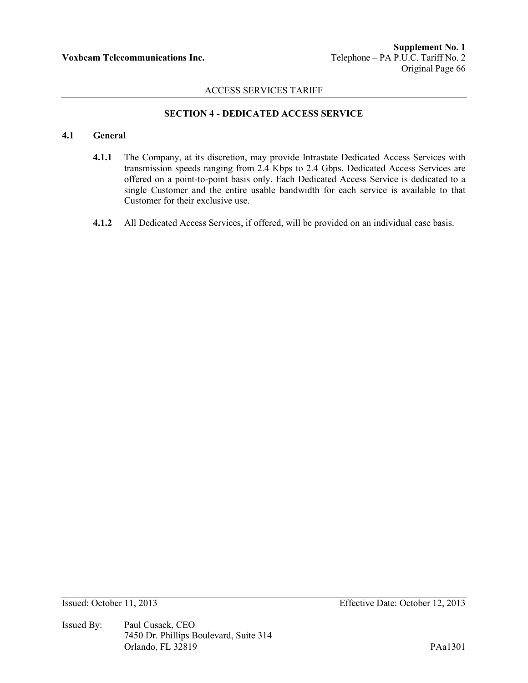# **SECTION 4 - DEDICATED ACCESS SERVICE**

# **4.1 General**

- **4.1.1** The Company, at its discretion, may provide Intrastate Dedicated Access Services with transmission speeds ranging from 2.4 Kbps to 2.4 Gbps. Dedicated Access Services are offered on a point-to-point basis only. Each Dedicated Access Service is dedicated to a single Customer and the entire usable bandwidth for each service is available to that Customer for their exclusive use.
- **4.1.2** All Dedicated Access Services, if offered, will be provided on an individual case basis.

Issued By: Paul Cusack, CEO 7450 Dr. Phillips Boulevard, Suite 314 Orlando, FL 32819 PAa1301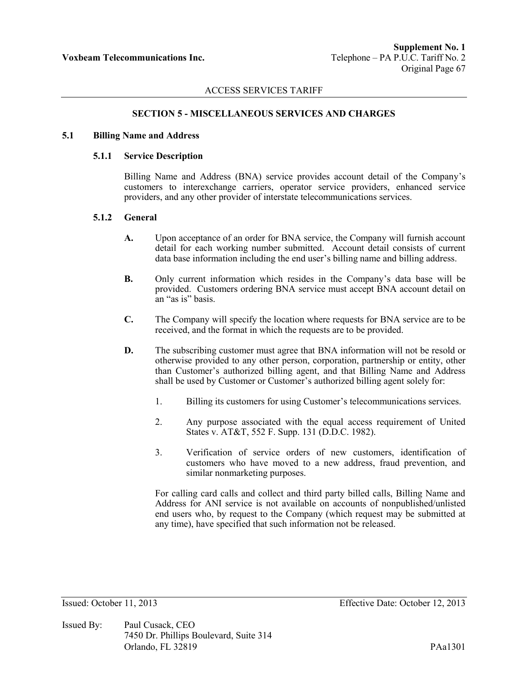#### **SECTION 5 - MISCELLANEOUS SERVICES AND CHARGES**

### **5.1 Billing Name and Address**

#### **5.1.1 Service Description**

Billing Name and Address (BNA) service provides account detail of the Company's customers to interexchange carriers, operator service providers, enhanced service providers, and any other provider of interstate telecommunications services.

### **5.1.2 General**

- **A.** Upon acceptance of an order for BNA service, the Company will furnish account detail for each working number submitted. Account detail consists of current data base information including the end user's billing name and billing address.
- **B.** Only current information which resides in the Company's data base will be provided. Customers ordering BNA service must accept BNA account detail on an "as is" basis.
- **C.** The Company will specify the location where requests for BNA service are to be received, and the format in which the requests are to be provided.
- **D.** The subscribing customer must agree that BNA information will not be resold or otherwise provided to any other person, corporation, partnership or entity, other than Customer's authorized billing agent, and that Billing Name and Address shall be used by Customer or Customer's authorized billing agent solely for:
	- 1. Billing its customers for using Customer's telecommunications services.
	- 2. Any purpose associated with the equal access requirement of United States v. AT&T, 552 F. Supp. 131 (D.D.C. 1982).
	- 3. Verification of service orders of new customers, identification of customers who have moved to a new address, fraud prevention, and similar nonmarketing purposes.

For calling card calls and collect and third party billed calls, Billing Name and Address for ANI service is not available on accounts of nonpublished/unlisted end users who, by request to the Company (which request may be submitted at any time), have specified that such information not be released.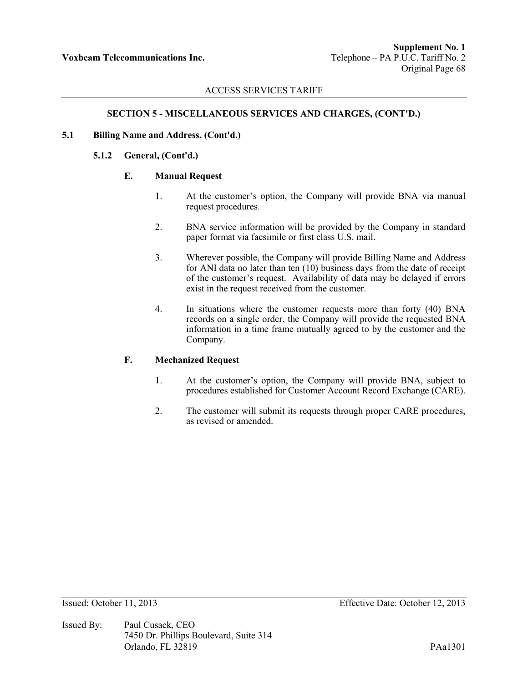## **SECTION 5 - MISCELLANEOUS SERVICES AND CHARGES, (CONT'D.)**

### **5.1 Billing Name and Address, (Cont'd.)**

### **5.1.2 General, (Cont'd.)**

## **E. Manual Request**

- 1. At the customer's option, the Company will provide BNA via manual request procedures.
- 2. BNA service information will be provided by the Company in standard paper format via facsimile or first class U.S. mail.
- 3. Wherever possible, the Company will provide Billing Name and Address for ANI data no later than ten (10) business days from the date of receipt of the customer's request. Availability of data may be delayed if errors exist in the request received from the customer.
- 4. In situations where the customer requests more than forty (40) BNA records on a single order, the Company will provide the requested BNA information in a time frame mutually agreed to by the customer and the Company.

## **F. Mechanized Request**

- 1. At the customer's option, the Company will provide BNA, subject to procedures established for Customer Account Record Exchange (CARE).
- 2. The customer will submit its requests through proper CARE procedures, as revised or amended.

Issued By: Paul Cusack, CEO 7450 Dr. Phillips Boulevard, Suite 314 Orlando, FL 32819 PAa1301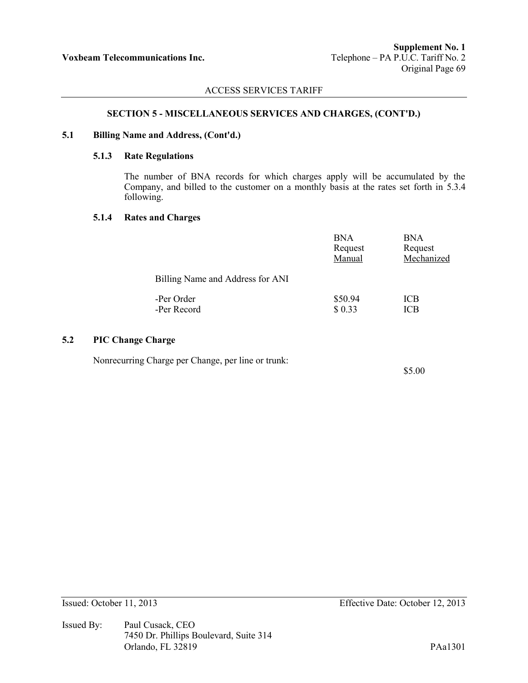#### **SECTION 5 - MISCELLANEOUS SERVICES AND CHARGES, (CONT'D.)**

#### **5.1 Billing Name and Address, (Cont'd.)**

### **5.1.3 Rate Regulations**

The number of BNA records for which charges apply will be accumulated by the Company, and billed to the customer on a monthly basis at the rates set forth in 5.3.4 following.

### **5.1.4 Rates and Charges**

|                                  | <b>BNA</b><br>Request<br>Manual | <b>BNA</b><br>Request<br>Mechanized |
|----------------------------------|---------------------------------|-------------------------------------|
| Billing Name and Address for ANI |                                 |                                     |
| -Per Order<br>-Per Record        | \$50.94<br>\$0.33               | ICB<br>ICB                          |

# **5.2 PIC Change Charge**

Nonrecurring Charge per Change, per line or trunk:

\$5.00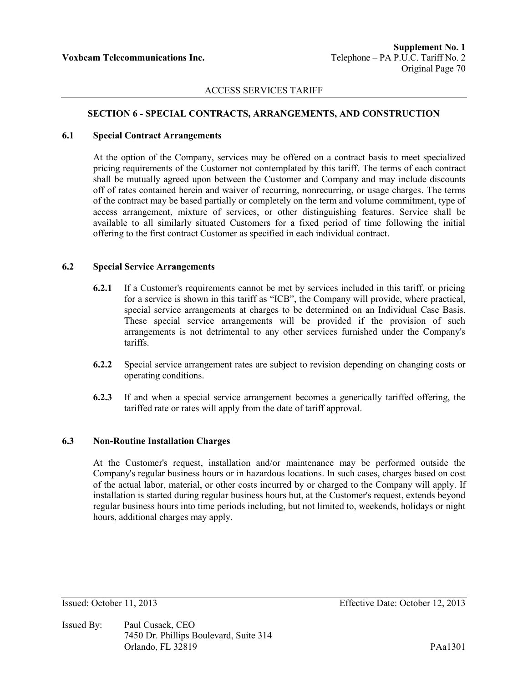## ACCESS SERVICES TARIFF

# **SECTION 6 - SPECIAL CONTRACTS, ARRANGEMENTS, AND CONSTRUCTION**

#### **6.1 Special Contract Arrangements**

At the option of the Company, services may be offered on a contract basis to meet specialized pricing requirements of the Customer not contemplated by this tariff. The terms of each contract shall be mutually agreed upon between the Customer and Company and may include discounts off of rates contained herein and waiver of recurring, nonrecurring, or usage charges. The terms of the contract may be based partially or completely on the term and volume commitment, type of access arrangement, mixture of services, or other distinguishing features. Service shall be available to all similarly situated Customers for a fixed period of time following the initial offering to the first contract Customer as specified in each individual contract.

### **6.2 Special Service Arrangements**

- **6.2.1** If a Customer's requirements cannot be met by services included in this tariff, or pricing for a service is shown in this tariff as "ICB", the Company will provide, where practical, special service arrangements at charges to be determined on an Individual Case Basis. These special service arrangements will be provided if the provision of such arrangements is not detrimental to any other services furnished under the Company's tariffs.
- **6.2.2** Special service arrangement rates are subject to revision depending on changing costs or operating conditions.
- **6.2.3** If and when a special service arrangement becomes a generically tariffed offering, the tariffed rate or rates will apply from the date of tariff approval.

### **6.3 Non-Routine Installation Charges**

At the Customer's request, installation and/or maintenance may be performed outside the Company's regular business hours or in hazardous locations. In such cases, charges based on cost of the actual labor, material, or other costs incurred by or charged to the Company will apply. If installation is started during regular business hours but, at the Customer's request, extends beyond regular business hours into time periods including, but not limited to, weekends, holidays or night hours, additional charges may apply.

Issued By: Paul Cusack, CEO 7450 Dr. Phillips Boulevard, Suite 314 Orlando, FL 32819 PAa1301

Issued: October 11, 2013 Effective Date: October 12, 2013